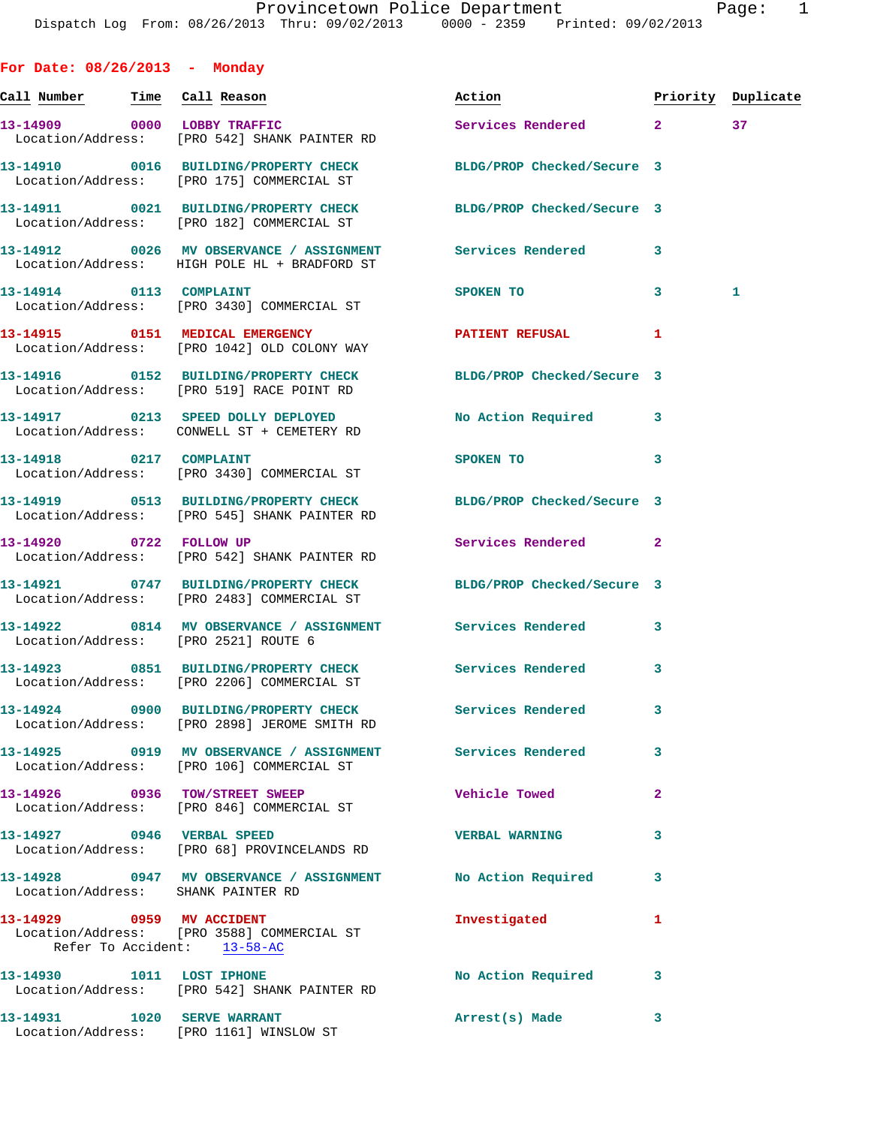| For Date: $08/26/2013$ - Monday |                                                                                                                  |                                                       |                         |                    |
|---------------------------------|------------------------------------------------------------------------------------------------------------------|-------------------------------------------------------|-------------------------|--------------------|
|                                 |                                                                                                                  | Action                                                |                         | Priority Duplicate |
|                                 | 13-14909 0000 LOBBY TRAFFIC<br>Location/Address: [PRO 542] SHANK PAINTER RD                                      | Services Rendered 2                                   |                         | 37                 |
|                                 | 13-14910 0016 BUILDING/PROPERTY CHECK BLDG/PROP Checked/Secure 3<br>Location/Address: [PRO 175] COMMERCIAL ST    |                                                       |                         |                    |
|                                 | 13-14911 0021 BUILDING/PROPERTY CHECK BLDG/PROP Checked/Secure 3<br>Location/Address: [PRO 182] COMMERCIAL ST    |                                                       |                         |                    |
|                                 | 13-14912 0026 MV OBSERVANCE / ASSIGNMENT Services Rendered<br>Location/Address: HIGH POLE HL + BRADFORD ST       |                                                       | 3                       |                    |
| 13-14914 0113 COMPLAINT         | Location/Address: [PRO 3430] COMMERCIAL ST                                                                       | SPOKEN TO AND TO A STRUCK TO A RESIDENCE OF A STRUCK. | 3                       | 1                  |
|                                 | 13-14915 0151 MEDICAL EMERGENCY<br>Location/Address: [PRO 1042] OLD COLONY WAY                                   | <b>PATIENT REFUSAL</b>                                | 1                       |                    |
|                                 | 13-14916 0152 BUILDING/PROPERTY CHECK BLDG/PROP Checked/Secure 3<br>Location/Address: [PRO 519] RACE POINT RD    |                                                       |                         |                    |
|                                 | 13-14917 0213 SPEED DOLLY DEPLOYED<br>Location/Address: CONWELL ST + CEMETERY RD                                 | No Action Required                                    | 3                       |                    |
| 13-14918 0217 COMPLAINT         | Location/Address: [PRO 3430] COMMERCIAL ST                                                                       | SPOKEN TO DESCRIPTION OF REAL PROPERTY.               | 3                       |                    |
|                                 | 13-14919 0513 BUILDING/PROPERTY CHECK BLDG/PROP Checked/Secure 3<br>Location/Address: [PRO 545] SHANK PAINTER RD |                                                       |                         |                    |
| 13-14920 0722 FOLLOW UP         | Location/Address: [PRO 542] SHANK PAINTER RD                                                                     | Services Rendered                                     | $\mathbf{2}$            |                    |
|                                 | 13-14921 0747 BUILDING/PROPERTY CHECK BLDG/PROP Checked/Secure 3<br>Location/Address: [PRO 2483] COMMERCIAL ST   |                                                       |                         |                    |
|                                 | 13-14922 0814 MV OBSERVANCE / ASSIGNMENT Services Rendered<br>Location/Address: [PRO 2521] ROUTE 6               |                                                       | 3                       |                    |
|                                 | 13-14923 0851 BUILDING/PROPERTY CHECK Services Rendered<br>Location/Address: [PRO 2206] COMMERCIAL ST            |                                                       | 3                       |                    |
|                                 | 13-14924 0900 BUILDING/PROPERTY CHECK Services Rendered<br>Location/Address: [PRO 2898] JEROME SMITH RD          |                                                       | 3                       |                    |
|                                 | 13-14925 0919 MV OBSERVANCE / ASSIGNMENT Services Rendered<br>Location/Address: [PRO 106] COMMERCIAL ST          |                                                       | 3                       |                    |
|                                 | 13-14926 0936 TOW/STREET SWEEP<br>Location/Address: [PRO 846] COMMERCIAL ST                                      | Vehicle Towed                                         | $\overline{\mathbf{2}}$ |                    |
| 13-14927 0946 VERBAL SPEED      | Location/Address: [PRO 68] PROVINCELANDS RD                                                                      | <b>VERBAL WARNING</b>                                 | 3                       |                    |
|                                 | 13-14928 0947 MV OBSERVANCE / ASSIGNMENT No Action Required<br>Location/Address: SHANK PAINTER RD                |                                                       | 3                       |                    |
|                                 | 13-14929 0959 MV ACCIDENT<br>Location/Address: [PRO 3588] COMMERCIAL ST<br>Refer To Accident: 13-58-AC           | Investigated                                          | 1                       |                    |
| 13-14930 1011 LOST IPHONE       | Location/Address: [PRO 542] SHANK PAINTER RD                                                                     | No Action Required                                    | 3                       |                    |
| 13-14931    1020 SERVE WARRANT  |                                                                                                                  | Arrest(s) Made                                        | 3                       |                    |

Location/Address: [PRO 1161] WINSLOW ST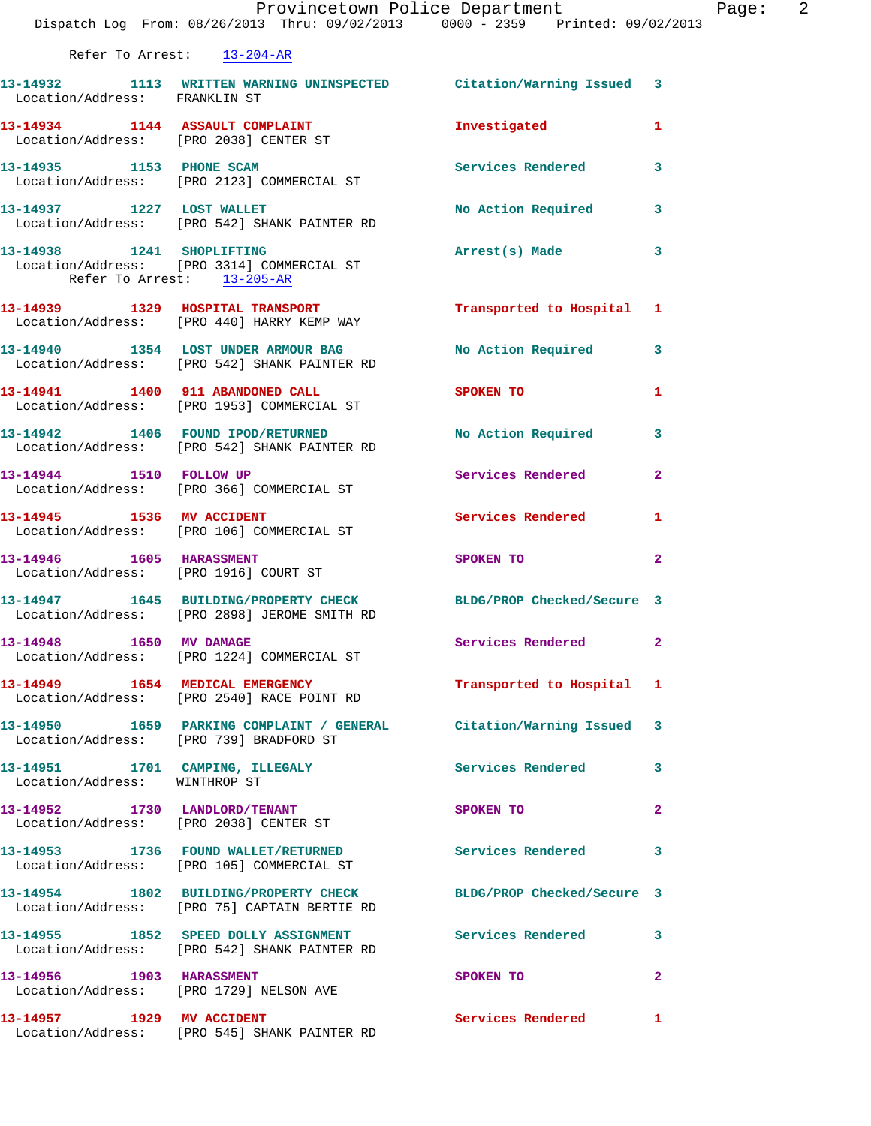|                                                                     | Provincetown Police Department<br>Dispatch Log From: 08/26/2013 Thru: 09/02/2013 0000 - 2359 Printed: 09/02/2013 |                          |              |
|---------------------------------------------------------------------|------------------------------------------------------------------------------------------------------------------|--------------------------|--------------|
| Refer To Arrest: 13-204-AR                                          |                                                                                                                  |                          |              |
| Location/Address: FRANKLIN ST                                       | 13-14932 1113 WRITTEN WARNING UNINSPECTED Citation/Warning Issued                                                |                          | 3            |
| 13-14934 1144 ASSAULT COMPLAINT                                     | Location/Address: [PRO 2038] CENTER ST                                                                           | Investigated             | 1            |
|                                                                     | 13-14935 1153 PHONE SCAM<br>Location/Address: [PRO 2123] COMMERCIAL ST                                           | <b>Services Rendered</b> | 3            |
| 13-14937 1227 LOST WALLET                                           | Location/Address: [PRO 542] SHANK PAINTER RD                                                                     | No Action Required       | 3            |
| Refer To Arrest: 13-205-AR                                          | 13-14938 1241 SHOPLIFTING<br>Location/Address: [PRO 3314] COMMERCIAL ST                                          | Arrest(s) Made           | 3            |
|                                                                     | 13-14939 1329 HOSPITAL TRANSPORT<br>Location/Address: [PRO 440] HARRY KEMP WAY                                   | Transported to Hospital  | 1            |
|                                                                     | 13-14940 1354 LOST UNDER ARMOUR BAG<br>Location/Address: [PRO 542] SHANK PAINTER RD                              | No Action Required       | 3            |
|                                                                     | 13-14941 1400 911 ABANDONED CALL<br>Location/Address: [PRO 1953] COMMERCIAL ST                                   | SPOKEN TO                | 1            |
|                                                                     | 13-14942 1406 FOUND IPOD/RETURNED<br>Location/Address: [PRO 542] SHANK PAINTER RD                                | No Action Required       | 3            |
|                                                                     | 13-14944 1510 FOLLOW UP<br>Location/Address: [PRO 366] COMMERCIAL ST                                             | Services Rendered        | $\mathbf{2}$ |
| 13-14945 1536 MV ACCIDENT                                           | Location/Address: [PRO 106] COMMERCIAL ST                                                                        | Services Rendered        | 1            |
| 13-14946    1605    HARASSMENT                                      | Location/Address: [PRO 1916] COURT ST                                                                            | SPOKEN TO                | $\mathbf{2}$ |
|                                                                     | 13-14947 1645 BUILDING/PROPERTY CHECK BLDG/PROP Checked/Secure 3<br>Location/Address: [PRO 2898] JEROME SMITH RD |                          |              |
| 13-14948 1650 MV DAMAGE                                             | Location/Address: [PRO 1224] COMMERCIAL ST                                                                       | Services Rendered        | $\mathbf{2}$ |
| 13-14949 1654 MEDICAL EMERGENCY                                     | Location/Address: [PRO 2540] RACE POINT RD                                                                       | Transported to Hospital  | 1            |
| Location/Address: [PRO 739] BRADFORD ST                             | 13-14950 1659 PARKING COMPLAINT / GENERAL Citation/Warning Issued                                                |                          | 3            |
| 13-14951 1701 CAMPING, ILLEGALY<br>Location/Address: WINTHROP ST    |                                                                                                                  | <b>Services Rendered</b> | 3            |
| Location/Address: [PRO 2038] CENTER ST                              | 13-14952 1730 LANDLORD/TENANT                                                                                    | SPOKEN TO                | $\mathbf{2}$ |
|                                                                     | 13-14953 1736 FOUND WALLET/RETURNED<br>Location/Address: [PRO 105] COMMERCIAL ST                                 | <b>Services Rendered</b> | 3            |
|                                                                     | 13-14954 1802 BUILDING/PROPERTY CHECK BLDG/PROP Checked/Secure 3<br>Location/Address: [PRO 75] CAPTAIN BERTIE RD |                          |              |
|                                                                     | 13-14955 1852 SPEED DOLLY ASSIGNMENT<br>Location/Address: [PRO 542] SHANK PAINTER RD                             | <b>Services Rendered</b> | 3            |
| 13-14956 1903 HARASSMENT<br>Location/Address: [PRO 1729] NELSON AVE |                                                                                                                  | SPOKEN TO                | 2            |
| 13-14957 1929 MV ACCIDENT                                           | Location/Address: [PRO 545] SHANK PAINTER RD                                                                     | Services Rendered        | 1            |

Page:  $2 \n3$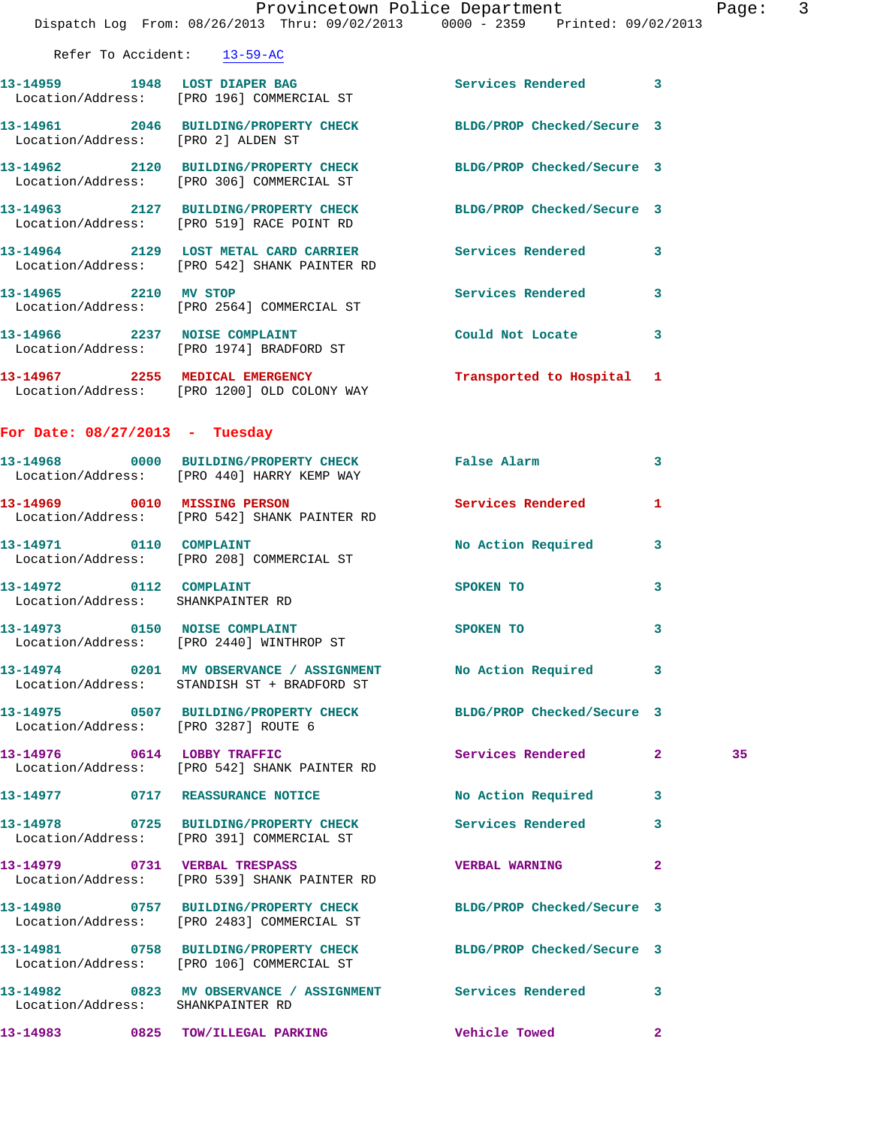|                                                              | Dispatch Log From: 08/26/2013 Thru: 09/02/2013 0000 - 2359 Printed: 09/02/2013                                 | Provincetown Police Department |                | Page: | $\overline{3}$ |
|--------------------------------------------------------------|----------------------------------------------------------------------------------------------------------------|--------------------------------|----------------|-------|----------------|
| Refer To Accident: 13-59-AC                                  |                                                                                                                |                                |                |       |                |
|                                                              | 13-14959 1948 LOST DIAPER BAG<br>Location/Address: [PRO 196] COMMERCIAL ST                                     | Services Rendered 3            |                |       |                |
| Location/Address: [PRO 2] ALDEN ST                           | 13-14961 2046 BUILDING/PROPERTY CHECK BLDG/PROP Checked/Secure 3                                               |                                |                |       |                |
|                                                              | 13-14962 2120 BUILDING/PROPERTY CHECK BLDG/PROP Checked/Secure 3<br>Location/Address: [PRO 306] COMMERCIAL ST  |                                |                |       |                |
|                                                              | 13-14963 2127 BUILDING/PROPERTY CHECK BLDG/PROP Checked/Secure 3<br>Location/Address: [PRO 519] RACE POINT RD  |                                |                |       |                |
|                                                              | 13-14964 2129 LOST METAL CARD CARRIER Services Rendered 3<br>Location/Address: [PRO 542] SHANK PAINTER RD      |                                |                |       |                |
|                                                              | 13-14965 2210 MV STOP<br>Location/Address: [PRO 2564] COMMERCIAL ST                                            | Services Rendered 3            |                |       |                |
|                                                              | 13-14966 2237 NOISE COMPLAINT<br>Location/Address: [PRO 1974] BRADFORD ST                                      | Could Not Locate 3             |                |       |                |
|                                                              | 13-14967 2255 MEDICAL EMERGENCY<br>Location/Address: [PRO 1200] OLD COLONY WAY                                 | Transported to Hospital 1      |                |       |                |
| For Date: $08/27/2013$ - Tuesday                             |                                                                                                                |                                |                |       |                |
|                                                              | 13-14968 0000 BUILDING/PROPERTY CHECK False Alarm<br>Location/Address: [PRO 440] HARRY KEMP WAY                |                                | 3              |       |                |
|                                                              | 13-14969 0010 MISSING PERSON<br>Location/Address: [PRO 542] SHANK PAINTER RD                                   | Services Rendered              | 1              |       |                |
|                                                              | 13-14971 0110 COMPLAINT<br>Location/Address: [PRO 208] COMMERCIAL ST                                           | No Action Required 3           |                |       |                |
| 13-14972 0112 COMPLAINT<br>Location/Address: SHANKPAINTER RD |                                                                                                                | SPOKEN TO                      | 3              |       |                |
| 13-14973 0150 NOISE COMPLAINT                                | Location/Address: [PRO 2440] WINTHROP ST                                                                       | SPOKEN TO                      | 3              |       |                |
|                                                              | 13-14974 0201 MV OBSERVANCE / ASSIGNMENT No Action Required<br>Location/Address: STANDISH ST + BRADFORD ST     |                                | -3             |       |                |
| Location/Address: [PRO 3287] ROUTE 6                         | 13-14975 0507 BUILDING/PROPERTY CHECK BLDG/PROP Checked/Secure 3                                               |                                |                |       |                |
| 13-14976 0614 LOBBY TRAFFIC                                  | Location/Address: [PRO 542] SHANK PAINTER RD                                                                   | Services Rendered 2            |                | 35    |                |
|                                                              | 13-14977 0717 REASSURANCE NOTICE                                                                               | No Action Required 3           |                |       |                |
|                                                              | 13-14978 0725 BUILDING/PROPERTY CHECK Services Rendered 3<br>Location/Address: [PRO 391] COMMERCIAL ST         |                                |                |       |                |
|                                                              | 13-14979 0731 VERBAL TRESPASS<br>Location/Address: [PRO 539] SHANK PAINTER RD                                  | <b>VERBAL WARNING</b>          | $\overline{2}$ |       |                |
|                                                              | 13-14980 0757 BUILDING/PROPERTY CHECK BLDG/PROP Checked/Secure 3<br>Location/Address: [PRO 2483] COMMERCIAL ST |                                |                |       |                |
|                                                              | 13-14981 0758 BUILDING/PROPERTY CHECK<br>Location/Address: [PRO 106] COMMERCIAL ST                             | BLDG/PROP Checked/Secure 3     |                |       |                |
| Location/Address: SHANKPAINTER RD                            | 13-14982 0823 MV OBSERVANCE / ASSIGNMENT Services Rendered 3                                                   |                                |                |       |                |

**13-14983 0825 TOW/ILLEGAL PARKING Vehicle Towed 2**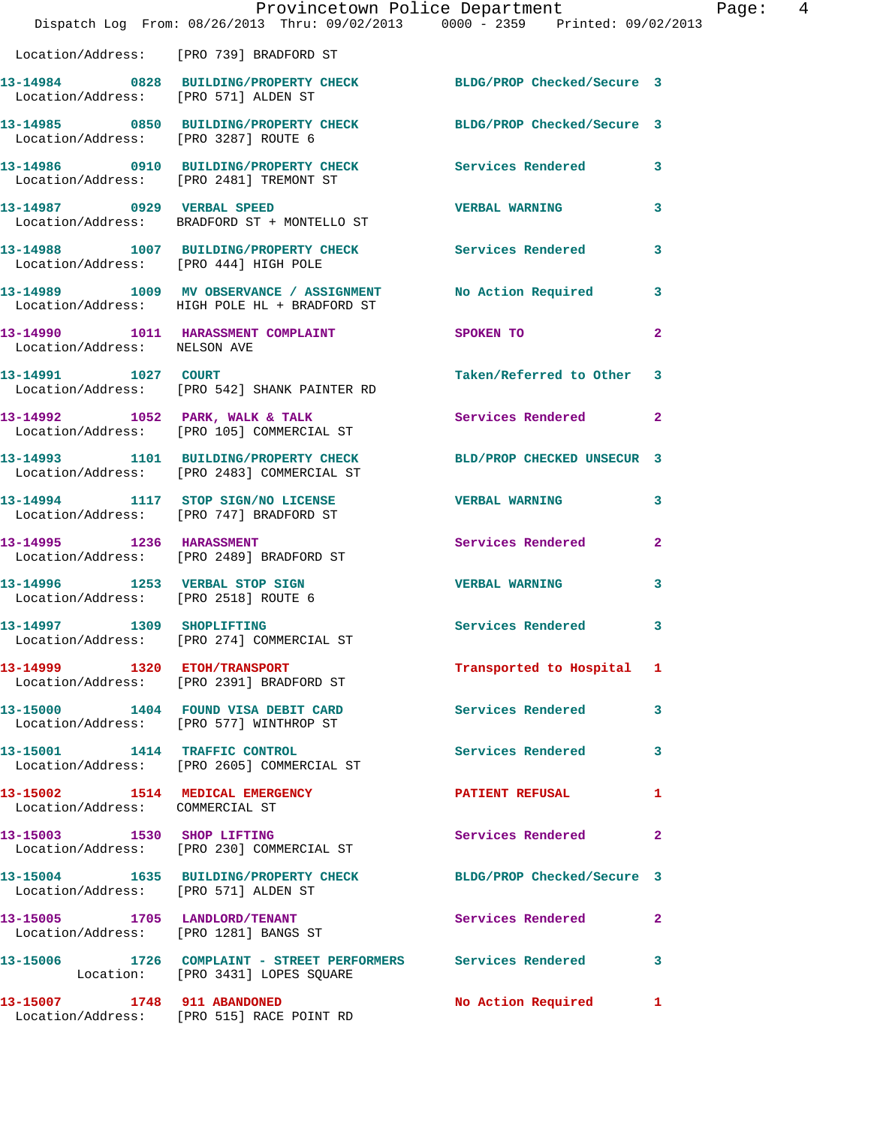|                                                                        | Provincetown Police Department<br>Dispatch Log From: 08/26/2013 Thru: 09/02/2013 0000 - 2359 Printed: 09/02/2013 |                            |                         |
|------------------------------------------------------------------------|------------------------------------------------------------------------------------------------------------------|----------------------------|-------------------------|
|                                                                        | Location/Address: [PRO 739] BRADFORD ST                                                                          |                            |                         |
| Location/Address: [PRO 571] ALDEN ST                                   | 13-14984 0828 BUILDING/PROPERTY CHECK BLDG/PROP Checked/Secure 3                                                 |                            |                         |
| Location/Address: [PRO 3287] ROUTE 6                                   | 13-14985 0850 BUILDING/PROPERTY CHECK BLDG/PROP Checked/Secure 3                                                 |                            |                         |
| Location/Address: [PRO 2481] TREMONT ST                                | 13-14986 0910 BUILDING/PROPERTY CHECK                                                                            | <b>Services Rendered</b>   | 3                       |
| 13-14987 0929 VERBAL SPEED                                             | Location/Address: BRADFORD ST + MONTELLO ST                                                                      | <b>VERBAL WARNING</b>      | 3                       |
| Location/Address: [PRO 444] HIGH POLE                                  | 13-14988 1007 BUILDING/PROPERTY CHECK                                                                            | Services Rendered          | 3                       |
|                                                                        | 13-14989 1009 MV OBSERVANCE / ASSIGNMENT<br>Location/Address: HIGH POLE HL + BRADFORD ST                         | No Action Required         | 3                       |
| Location/Address: NELSON AVE                                           | 13-14990 1011 HARASSMENT COMPLAINT                                                                               | <b>SPOKEN TO</b>           | $\overline{\mathbf{2}}$ |
| 13-14991 1027 COURT                                                    | Location/Address: [PRO 542] SHANK PAINTER RD                                                                     | Taken/Referred to Other    | 3                       |
|                                                                        | 13-14992 1052 PARK, WALK & TALK<br>Location/Address: [PRO 105] COMMERCIAL ST                                     | <b>Services Rendered</b>   | $\overline{a}$          |
|                                                                        | 13-14993 1101 BUILDING/PROPERTY CHECK<br>Location/Address: [PRO 2483] COMMERCIAL ST                              | BLD/PROP CHECKED UNSECUR 3 |                         |
|                                                                        | 13-14994 1117 STOP SIGN/NO LICENSE<br>Location/Address: [PRO 747] BRADFORD ST                                    | <b>VERBAL WARNING</b>      | 3                       |
|                                                                        | 13-14995 1236 HARASSMENT<br>Location/Address: [PRO 2489] BRADFORD ST                                             | Services Rendered          | 2                       |
| 13-14996 1253 VERBAL STOP SIGN<br>Location/Address: [PRO 2518] ROUTE 6 |                                                                                                                  | <b>VERBAL WARNING</b>      | 3                       |
| 13-14997 1309 SHOPLIFTING                                              | Location/Address: [PRO 274] COMMERCIAL ST                                                                        | <b>Services Rendered</b>   | 3                       |
|                                                                        | 13-14999 1320 ETOH/TRANSPORT<br>Location/Address: [PRO 2391] BRADFORD ST                                         | Transported to Hospital 1  |                         |
|                                                                        | 13-15000 1404 FOUND VISA DEBIT CARD<br>Location/Address: [PRO 577] WINTHROP ST                                   | <b>Services Rendered</b>   | 3                       |
|                                                                        | 13-15001 1414 TRAFFIC CONTROL<br>Location/Address: [PRO 2605] COMMERCIAL ST                                      | <b>Services Rendered</b>   | 3                       |
| 13-15002 1514 MEDICAL EMERGENCY<br>Location/Address: COMMERCIAL ST     |                                                                                                                  | <b>PATIENT REFUSAL</b>     | 1                       |
|                                                                        | 13-15003 1530 SHOP LIFTING<br>Location/Address: [PRO 230] COMMERCIAL ST                                          | <b>Services Rendered</b>   | $\overline{a}$          |
| Location/Address: [PRO 571] ALDEN ST                                   | 13-15004 1635 BUILDING/PROPERTY CHECK BLDG/PROP Checked/Secure 3                                                 |                            |                         |
| 13-15005 1705 LANDLORD/TENANT                                          | Location/Address: [PRO 1281] BANGS ST                                                                            | Services Rendered          | $\mathbf{2}$            |
|                                                                        | 13-15006 1726 COMPLAINT - STREET PERFORMERS Services Rendered<br>Location: [PRO 3431] LOPES SQUARE               |                            | 3                       |
| 13-15007 1748 911 ABANDONED                                            | Location/Address: [PRO 515] RACE POINT RD                                                                        | No Action Required         | 1                       |

Page: 4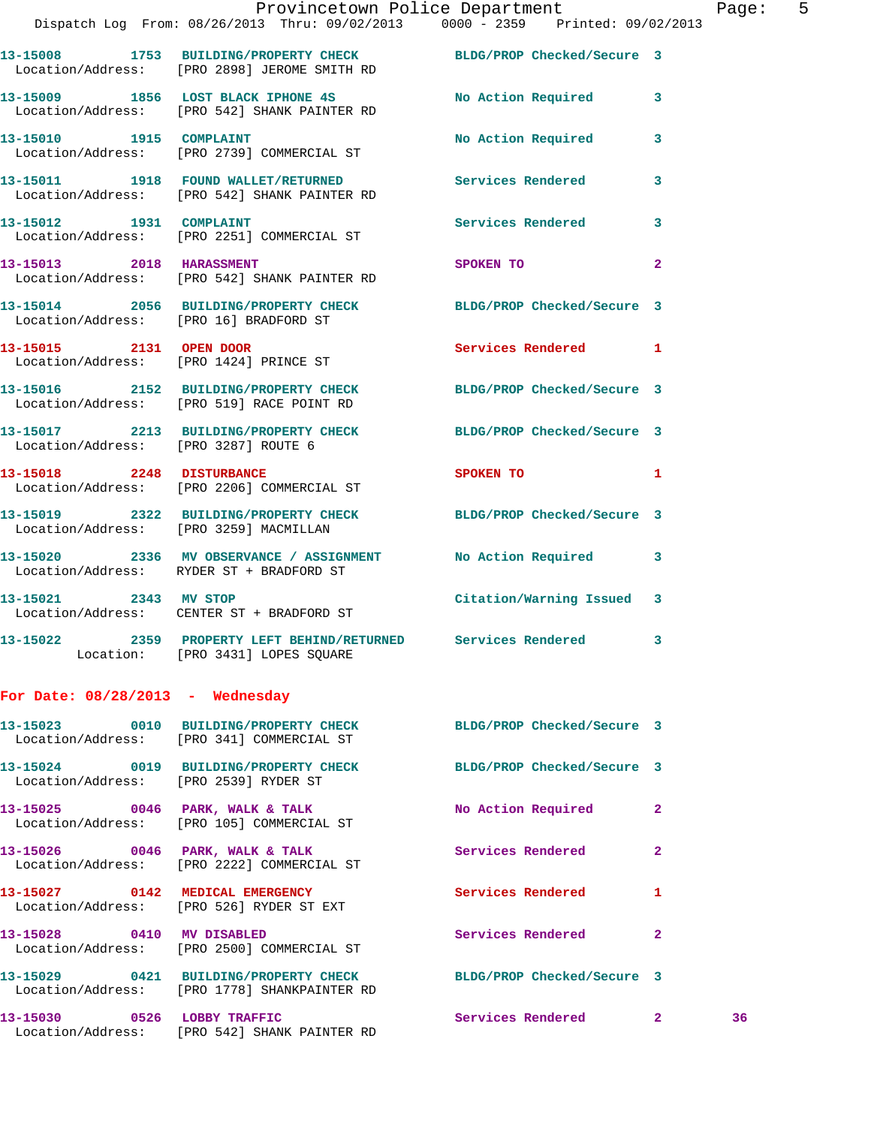|                                       | Provincetown Police Department                                                                                   |                           |                | Page |
|---------------------------------------|------------------------------------------------------------------------------------------------------------------|---------------------------|----------------|------|
|                                       | Dispatch Log From: 08/26/2013 Thru: 09/02/2013 0000 - 2359 Printed: 09/02/2013                                   |                           |                |      |
|                                       | 13-15008 1753 BUILDING/PROPERTY CHECK BLDG/PROP Checked/Secure 3<br>Location/Address: [PRO 2898] JEROME SMITH RD |                           |                |      |
|                                       | 13-15009 1856 LOST BLACK IPHONE 4S No Action Required 3<br>Location/Address: [PRO 542] SHANK PAINTER RD          |                           |                |      |
|                                       | 13-15010 1915 COMPLAINT<br>Location/Address: [PRO 2739] COMMERCIAL ST                                            | No Action Required        | 3              |      |
|                                       | 13-15011 1918 FOUND WALLET/RETURNED Services Rendered<br>Location/Address: [PRO 542] SHANK PAINTER RD            |                           | 3              |      |
|                                       | 13-15012 1931 COMPLAINT<br>Location/Address: [PRO 2251] COMMERCIAL ST                                            | Services Rendered         | 3              |      |
|                                       | 13-15013 2018 HARASSMENT 2008 2018<br>Location/Address: [PRO 542] SHANK PAINTER RD                               |                           | $\overline{2}$ |      |
|                                       | 13-15014 2056 BUILDING/PROPERTY CHECK BLDG/PROP Checked/Secure 3<br>Location/Address: [PRO 16] BRADFORD ST       |                           |                |      |
|                                       | 13-15015 2131 OPEN DOOR<br>Location/Address: [PRO 1424] PRINCE ST                                                | Services Rendered 1       |                |      |
|                                       | 13-15016 2152 BUILDING/PROPERTY CHECK BLDG/PROP Checked/Secure 3<br>Location/Address: [PRO 519] RACE POINT RD    |                           |                |      |
|                                       | 13-15017 2213 BUILDING/PROPERTY CHECK BLDG/PROP Checked/Secure 3<br>Location/Address: [PRO 3287] ROUTE 6         |                           |                |      |
|                                       | 13-15018 2248 DISTURBANCE<br>Location/Address: [PRO 2206] COMMERCIAL ST                                          | SPOKEN TO<br>$\sim$ 1     |                |      |
|                                       | 13-15019 2322 BUILDING/PROPERTY CHECK BLDG/PROP Checked/Secure 3<br>Location/Address: [PRO 3259] MACMILLAN       |                           |                |      |
|                                       | 13-15020 2336 MV OBSERVANCE / ASSIGNMENT No Action Required 3<br>Location/Address: RYDER ST + BRADFORD ST        |                           |                |      |
|                                       | 13-15021 2343 MV STOP<br>Location/Address: CENTER ST + BRADFORD ST                                               | Citation/Warning Issued 3 |                |      |
|                                       | 13-15022 2359 PROPERTY LEFT BEHIND/RETURNED Services Rendered 3<br>Location: [PRO 3431] LOPES SQUARE             |                           |                |      |
| For Date: $08/28/2013$ - Wednesday    |                                                                                                                  |                           |                |      |
|                                       | 13-15023 0010 BUILDING/PROPERTY CHECK BLDG/PROP Checked/Secure 3<br>Location/Address: [PRO 341] COMMERCIAL ST    |                           |                |      |
| Location/Address: [PRO 2539] RYDER ST | 13-15024 0019 BUILDING/PROPERTY CHECK BLDG/PROP Checked/Secure 3                                                 |                           |                |      |
|                                       | 13-15025 0046 PARK, WALK & TALK<br>Location/Address: [PRO 105] COMMERCIAL ST                                     | No Action Required        | $\mathbf{2}$   |      |
|                                       | 13-15026 0046 PARK, WALK & TALK<br>Location/Address: [PRO 2222] COMMERCIAL ST                                    | <b>Services Rendered</b>  | $\overline{2}$ |      |
|                                       | 13-15027 0142 MEDICAL EMERGENCY<br>Location/Address: [PRO 526] RYDER ST EXT                                      | Services Rendered         | 1              |      |
|                                       | 13-15028 0410 MV DISABLED<br>Location/Address: [PRO 2500] COMMERCIAL ST                                          | <b>Services Rendered</b>  | $\mathbf{2}$   |      |
|                                       | 13-15029 0421 BUILDING/PROPERTY CHECK BLDG/PROP Checked/Secure 3<br>Location/Address: [PRO 1778] SHANKPAINTER RD |                           |                |      |
|                                       | 13-15030 0526 LOBBY TRAFFIC                                                                                      | Services Rendered 2 36    |                |      |

Location/Address: [PRO 542] SHANK PAINTER RD

Page:  $5$ <br>13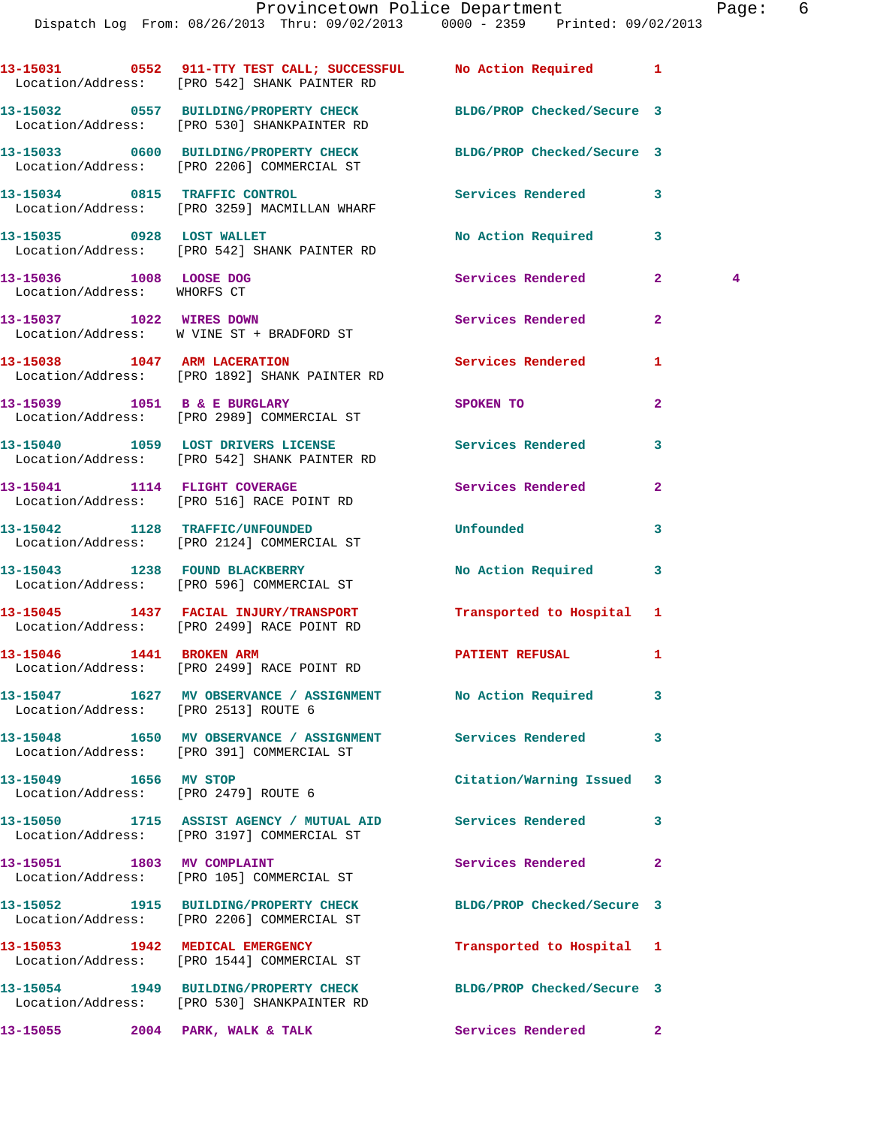|                                                        | 13-15031 0552 911-TTY TEST CALL; SUCCESSFUL No Action Required 1<br>Location/Address: [PRO 542] SHANK PAINTER RD |                            |                                |
|--------------------------------------------------------|------------------------------------------------------------------------------------------------------------------|----------------------------|--------------------------------|
|                                                        | 13-15032 0557 BUILDING/PROPERTY CHECK<br>Location/Address: [PRO 530] SHANKPAINTER RD                             | BLDG/PROP Checked/Secure 3 |                                |
|                                                        | 13-15033 0600 BUILDING/PROPERTY CHECK BLDG/PROP Checked/Secure 3<br>Location/Address: [PRO 2206] COMMERCIAL ST   |                            |                                |
|                                                        | 13-15034 0815 TRAFFIC CONTROL<br>Location/Address: [PRO 3259] MACMILLAN WHARF                                    | <b>Services Rendered</b>   | 3                              |
|                                                        | 13-15035 0928 LOST WALLET<br>Location/Address: [PRO 542] SHANK PAINTER RD                                        | No Action Required         | 3                              |
| 13-15036 1008 LOOSE DOG<br>Location/Address: WHORFS CT |                                                                                                                  | Services Rendered          | $\mathbf{2}$<br>$\overline{4}$ |
|                                                        | 13-15037 1022 WIRES DOWN<br>Location/Address: W VINE ST + BRADFORD ST                                            | Services Rendered          | $\overline{2}$                 |
|                                                        | 13-15038 1047 ARM LACERATION<br>Location/Address: [PRO 1892] SHANK PAINTER RD                                    | Services Rendered          | 1                              |
|                                                        | 13-15039 1051 B & E BURGLARY<br>Location/Address: [PRO 2989] COMMERCIAL ST                                       | SPOKEN TO                  | $\overline{a}$                 |
|                                                        | 13-15040 1059 LOST DRIVERS LICENSE<br>Location/Address: [PRO 542] SHANK PAINTER RD                               | Services Rendered          | 3                              |
|                                                        | 13-15041 1114 FLIGHT COVERAGE<br>Location/Address: [PRO 516] RACE POINT RD                                       | Services Rendered          | $\overline{2}$                 |
|                                                        | 13-15042 1128 TRAFFIC/UNFOUNDED<br>Location/Address: [PRO 2124] COMMERCIAL ST                                    | Unfounded                  | 3                              |
|                                                        | 13-15043 1238 FOUND BLACKBERRY<br>Location/Address: [PRO 596] COMMERCIAL ST                                      | No Action Required         | 3                              |
|                                                        | 13-15045 1437 FACIAL INJURY/TRANSPORT<br>Location/Address: [PRO 2499] RACE POINT RD                              | Transported to Hospital 1  |                                |
| 13-15046   1441   BROKEN ARM                           | Location/Address: [PRO 2499] RACE POINT RD                                                                       | <b>PATIENT REFUSAL</b>     | 1                              |
|                                                        | 13-15047 1627 MV OBSERVANCE / ASSIGNMENT No Action Required<br>Location/Address: [PRO 2513] ROUTE 6              |                            | 3                              |
|                                                        | 13-15048 1650 MV OBSERVANCE / ASSIGNMENT Services Rendered<br>Location/Address: [PRO 391] COMMERCIAL ST          |                            | 3                              |
| 13-15049 1656 MV STOP                                  | Location/Address: [PRO 2479] ROUTE 6                                                                             | Citation/Warning Issued    | 3                              |
|                                                        | 13-15050 1715 ASSIST AGENCY / MUTUAL AID Services Rendered<br>Location/Address: [PRO 3197] COMMERCIAL ST         |                            | 3                              |
| 13-15051 1803 MV COMPLAINT                             | Location/Address: [PRO 105] COMMERCIAL ST                                                                        | Services Rendered          | $\mathbf{2}$                   |
|                                                        | 13-15052 1915 BUILDING/PROPERTY CHECK<br>Location/Address: [PRO 2206] COMMERCIAL ST                              | BLDG/PROP Checked/Secure 3 |                                |
|                                                        | 13-15053 1942 MEDICAL EMERGENCY                                                                                  | Transported to Hospital 1  |                                |
|                                                        | Location/Address: [PRO 1544] COMMERCIAL ST<br>13-15054 1949 BUILDING/PROPERTY CHECK BLDG/PROP Checked/Secure 3   |                            |                                |
|                                                        | Location/Address: [PRO 530] SHANKPAINTER RD<br>13-15055 2004 PARK, WALK & TALK                                   | Services Rendered          | $\mathbf{2}$                   |
|                                                        |                                                                                                                  |                            |                                |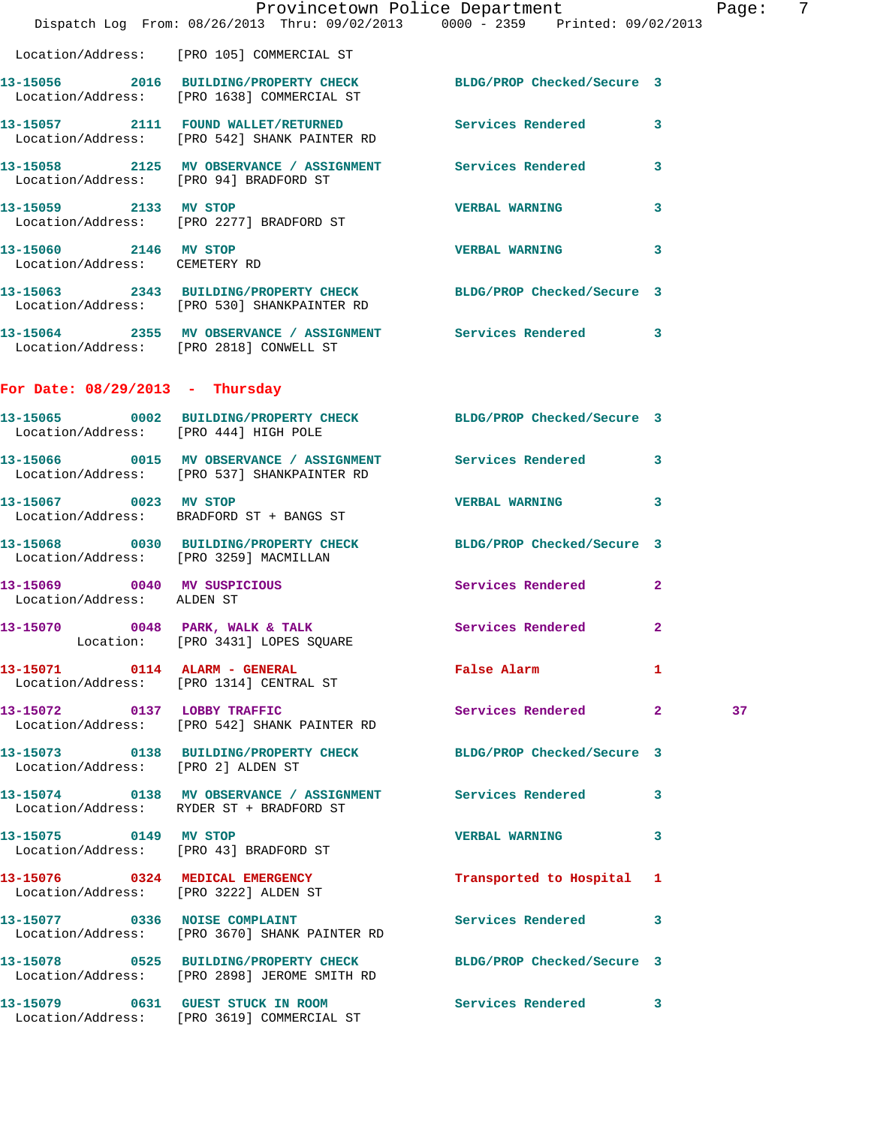|                                                        | Dispatch Log From: 08/26/2013 Thru: 09/02/2013 0000 - 2359 Printed: 09/02/2013                                   | Provincetown Police Department Page: 7 |                |    |  |
|--------------------------------------------------------|------------------------------------------------------------------------------------------------------------------|----------------------------------------|----------------|----|--|
|                                                        |                                                                                                                  |                                        |                |    |  |
|                                                        | Location/Address: [PRO 105] COMMERCIAL ST                                                                        |                                        |                |    |  |
|                                                        | 13-15056 2016 BUILDING/PROPERTY CHECK BLDG/PROP Checked/Secure 3<br>Location/Address: [PRO 1638] COMMERCIAL ST   |                                        |                |    |  |
|                                                        | 13-15057 2111 FOUND WALLET/RETURNED Services Rendered<br>Location/Address: [PRO 542] SHANK PAINTER RD            |                                        | 3              |    |  |
| Location/Address: [PRO 94] BRADFORD ST                 | 13-15058 2125 MV OBSERVANCE / ASSIGNMENT Services Rendered                                                       |                                        | $\mathbf{3}$   |    |  |
|                                                        | 13-15059 2133 MV STOP<br>Location/Address: [PRO 2277] BRADFORD ST                                                | <b>VERBAL WARNING</b>                  | 3              |    |  |
| 13-15060 2146 MV STOP<br>Location/Address: CEMETERY RD |                                                                                                                  | <b>VERBAL WARNING</b>                  | 3              |    |  |
|                                                        | 13-15063 2343 BUILDING/PROPERTY CHECK BLDG/PROP Checked/Secure 3<br>Location/Address: [PRO 530] SHANKPAINTER RD  |                                        |                |    |  |
| Location/Address: [PRO 2818] CONWELL ST                | 13-15064 2355 MV OBSERVANCE / ASSIGNMENT Services Rendered 3                                                     |                                        |                |    |  |
| For Date: $08/29/2013$ - Thursday                      |                                                                                                                  |                                        |                |    |  |
|                                                        | 13-15065 0002 BUILDING/PROPERTY CHECK BLDG/PROP Checked/Secure 3<br>Location/Address: [PRO 444] HIGH POLE        |                                        |                |    |  |
|                                                        | 13-15066 0015 MV OBSERVANCE / ASSIGNMENT Services Rendered 3<br>Location/Address: [PRO 537] SHANKPAINTER RD      |                                        |                |    |  |
| 13-15067 0023 MV STOP                                  | Location/Address: BRADFORD ST + BANGS ST                                                                         | <b>VERBAL WARNING</b>                  | 3              |    |  |
| Location/Address: [PRO 3259] MACMILLAN                 | 13-15068 0030 BUILDING/PROPERTY CHECK BLDG/PROP Checked/Secure 3                                                 |                                        |                |    |  |
| Location/Address: ALDEN ST                             | 13-15069 0040 MV SUSPICIOUS                                                                                      | Services Rendered                      | $\overline{2}$ |    |  |
|                                                        | 13-15070 0048 PARK, WALK & TALK 3 Services Rendered 2<br>Location: [PRO 3431] LOPES SQUARE                       |                                        |                |    |  |
|                                                        | 13-15071 0114 ALARM - GENERAL<br>Location/Address: [PRO 1314] CENTRAL ST                                         | False Alarm                            | 1              |    |  |
|                                                        | 13-15072 0137 LOBBY TRAFFIC<br>Location/Address: [PRO 542] SHANK PAINTER RD                                      | Services Rendered 2                    |                | 37 |  |
| Location/Address: [PRO 2] ALDEN ST                     | 13-15073 0138 BUILDING/PROPERTY CHECK BLDG/PROP Checked/Secure 3                                                 |                                        |                |    |  |
|                                                        | 13-15074 0138 MV OBSERVANCE / ASSIGNMENT Services Rendered<br>Location/Address: RYDER ST + BRADFORD ST           |                                        | 3              |    |  |
| 13-15075 0149 MV STOP                                  | Location/Address: [PRO 43] BRADFORD ST                                                                           | <b>VERBAL WARNING</b>                  | 3              |    |  |
|                                                        | 13-15076 0324 MEDICAL EMERGENCY<br>Location/Address: [PRO 3222] ALDEN ST                                         | Transported to Hospital 1              |                |    |  |
|                                                        | 13-15077 0336 NOISE COMPLAINT<br>Location/Address: [PRO 3670] SHANK PAINTER RD                                   | Services Rendered                      | 3              |    |  |
|                                                        | 13-15078 0525 BUILDING/PROPERTY CHECK BLDG/PROP Checked/Secure 3<br>Location/Address: [PRO 2898] JEROME SMITH RD |                                        |                |    |  |
|                                                        | 13-15079 0631 GUEST STUCK IN ROOM<br>Location/Address: [PRO 3619] COMMERCIAL ST                                  | Services Rendered 3                    |                |    |  |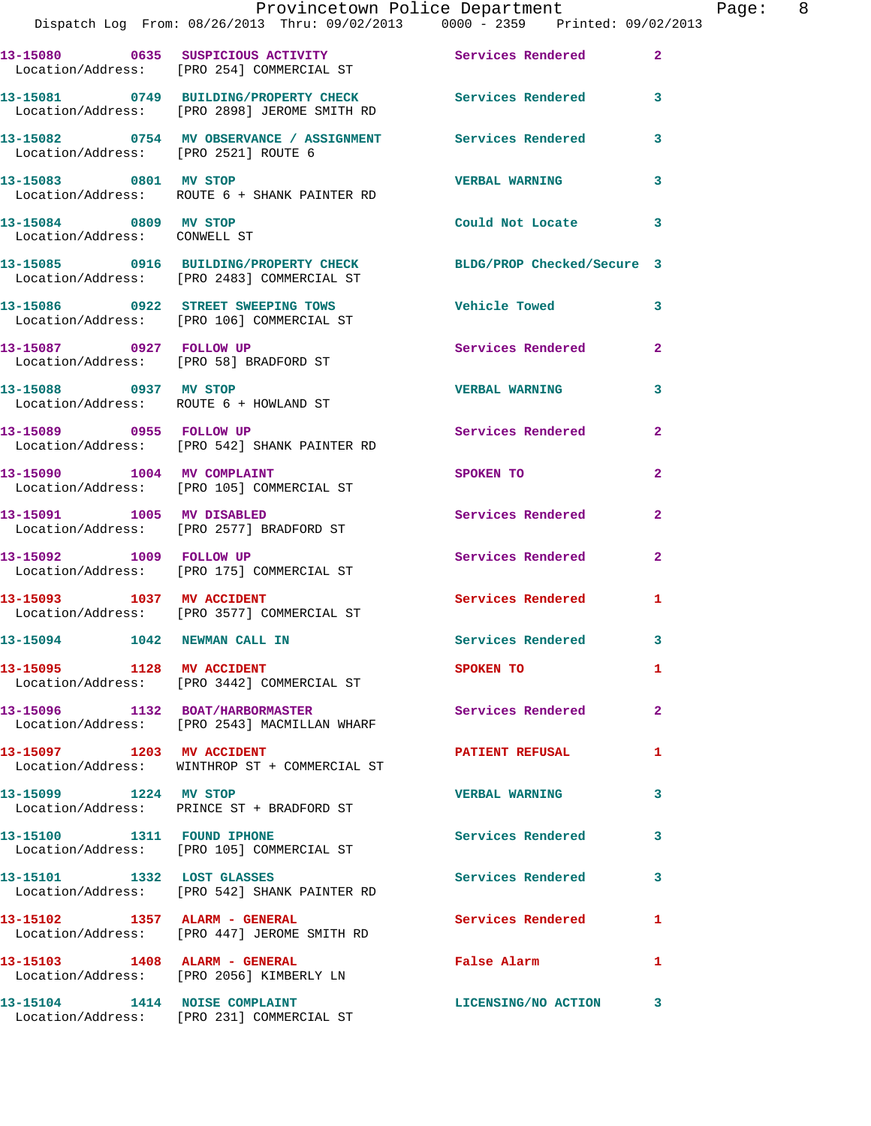|                                                       | Provincetown Police Department<br>Dispatch Log From: 08/26/2013 Thru: 09/02/2013 0000 - 2359 Printed: 09/02/2013 |                          |                |
|-------------------------------------------------------|------------------------------------------------------------------------------------------------------------------|--------------------------|----------------|
|                                                       | 13-15080 0635 SUSPICIOUS ACTIVITY<br>Location/Address: [PRO 254] COMMERCIAL ST                                   | Services Rendered        | $\overline{a}$ |
|                                                       | 13-15081 0749 BUILDING/PROPERTY CHECK Services Rendered<br>Location/Address: [PRO 2898] JEROME SMITH RD          |                          | 3              |
| Location/Address: [PRO 2521] ROUTE 6                  | 13-15082 0754 MV OBSERVANCE / ASSIGNMENT Services Rendered                                                       |                          | 3              |
| 13-15083 0801 MV STOP                                 | Location/Address: ROUTE 6 + SHANK PAINTER RD                                                                     | <b>VERBAL WARNING</b>    | 3              |
| 13-15084 0809 MV STOP<br>Location/Address: CONWELL ST |                                                                                                                  | Could Not Locate         | 3              |
|                                                       | 13-15085 0916 BUILDING/PROPERTY CHECK BLDG/PROP Checked/Secure 3<br>Location/Address: [PRO 2483] COMMERCIAL ST   |                          |                |
|                                                       | 13-15086 0922 STREET SWEEPING TOWS<br>Location/Address: [PRO 106] COMMERCIAL ST                                  | <b>Vehicle Towed</b>     | 3              |
| 13-15087 0927 FOLLOW UP                               | Location/Address: [PRO 58] BRADFORD ST                                                                           | <b>Services Rendered</b> | $\mathbf{2}$   |
| 13-15088 0937 MV STOP                                 | Location/Address: ROUTE 6 + HOWLAND ST                                                                           | <b>VERBAL WARNING</b>    | 3              |
|                                                       | 13-15089 0955 FOLLOW UP<br>Location/Address: [PRO 542] SHANK PAINTER RD                                          | Services Rendered        | 2              |
|                                                       | 13-15090 1004 MV COMPLAINT<br>Location/Address: [PRO 105] COMMERCIAL ST                                          | SPOKEN TO                | $\overline{2}$ |
|                                                       | 13-15091 1005 MV DISABLED<br>Location/Address: [PRO 2577] BRADFORD ST                                            | Services Rendered        | $\mathbf{2}$   |
|                                                       | 13-15092 1009 FOLLOW UP<br>Location/Address: [PRO 175] COMMERCIAL ST                                             | <b>Services Rendered</b> | $\overline{2}$ |
|                                                       | 13-15093 1037 MV ACCIDENT<br>Location/Address: [PRO 3577] COMMERCIAL ST                                          | <b>Services Rendered</b> | 1              |
| 13-15094 1042 NEWMAN CALL IN                          |                                                                                                                  | Services Rendered        | 3              |
| 13-15095 1128 MV ACCIDENT                             | Location/Address: [PRO 3442] COMMERCIAL ST                                                                       | SPOKEN TO                | 1              |
|                                                       | 13-15096 1132 BOAT/HARBORMASTER<br>Location/Address: [PRO 2543] MACMILLAN WHARF                                  | Services Rendered        | $\overline{2}$ |
| 13-15097 1203 MV ACCIDENT                             | Location/Address: WINTHROP ST + COMMERCIAL ST                                                                    | <b>PATIENT REFUSAL</b>   | 1              |
| 13-15099 1224 MV STOP                                 | Location/Address: PRINCE ST + BRADFORD ST                                                                        | <b>VERBAL WARNING</b>    | 3              |
| 13-15100 1311 FOUND IPHONE                            | Location/Address: [PRO 105] COMMERCIAL ST                                                                        | <b>Services Rendered</b> | 3              |
|                                                       | 13-15101 1332 LOST GLASSES<br>Location/Address: [PRO 542] SHANK PAINTER RD                                       | <b>Services Rendered</b> | 3              |
| $13-15102$ 1357 ALARM - GENERAL                       | Location/Address: [PRO 447] JEROME SMITH RD                                                                      | Services Rendered        | 1              |
|                                                       | Location/Address: [PRO 2056] KIMBERLY LN                                                                         | False Alarm              | 1              |
| 13-15104 1414 NOISE COMPLAINT                         |                                                                                                                  | LICENSING/NO ACTION      | 3              |

Location/Address: [PRO 231] COMMERCIAL ST

Page: 8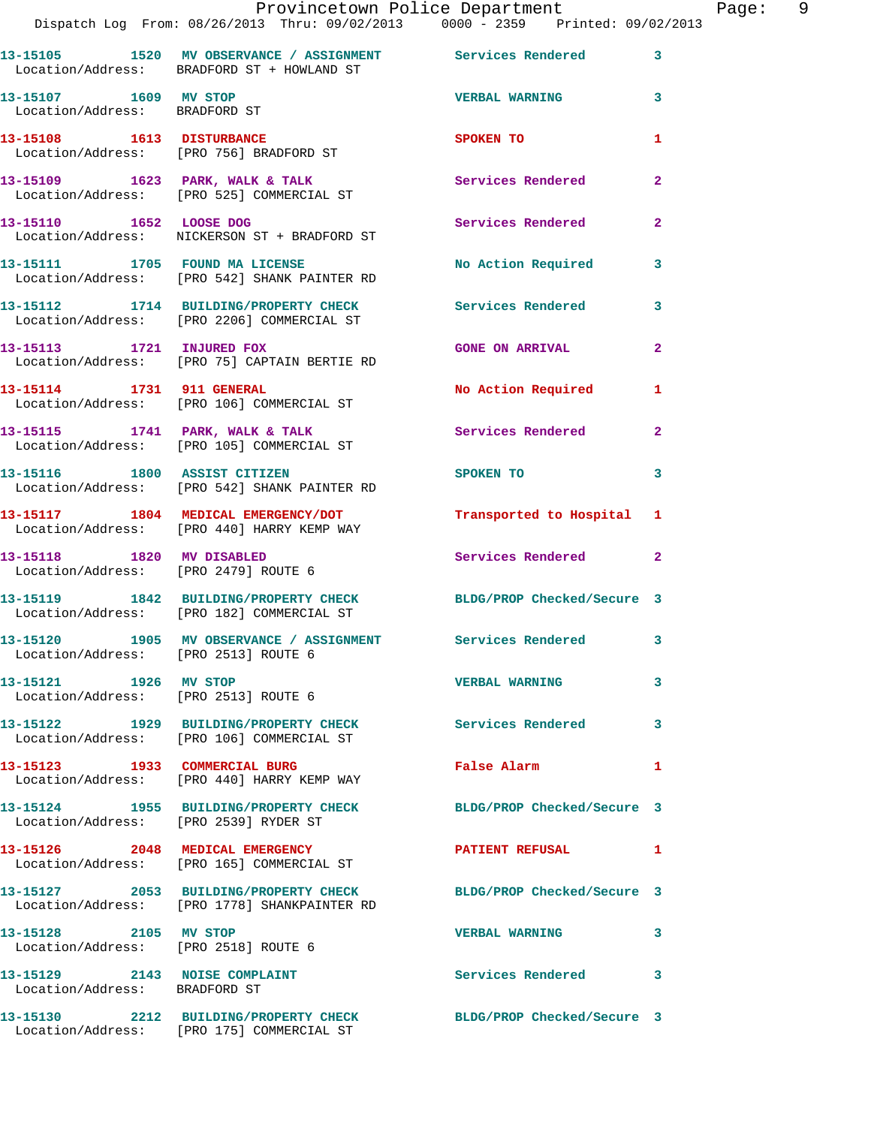|                                                                | Dispatch Log From: 08/26/2013 Thru: 09/02/2013 0000 - 2359 Printed: 09/02/2013                                   | Provincetown Police Department                                                                                                                                                                                                 |                | Page: 9 |  |
|----------------------------------------------------------------|------------------------------------------------------------------------------------------------------------------|--------------------------------------------------------------------------------------------------------------------------------------------------------------------------------------------------------------------------------|----------------|---------|--|
|                                                                | 13-15105 1520 MV OBSERVANCE / ASSIGNMENT Services Rendered 3<br>Location/Address: BRADFORD ST + HOWLAND ST       |                                                                                                                                                                                                                                |                |         |  |
| 13-15107 1609 MV STOP<br>Location/Address: BRADFORD ST         |                                                                                                                  | <b>VERBAL WARNING</b> 3                                                                                                                                                                                                        |                |         |  |
|                                                                | 13-15108   1613   DISTURBANCE<br>Location/Address: [PRO 756] BRADFORD ST                                         | SPOKEN TO                                                                                                                                                                                                                      | 1              |         |  |
|                                                                | 13-15109 1623 PARK, WALK & TALK 1988 Services Rendered<br>Location/Address: [PRO 525] COMMERCIAL ST              |                                                                                                                                                                                                                                | $\mathbf{2}$   |         |  |
|                                                                | 13-15110 1652 LOOSE DOG<br>Location/Address: NICKERSON ST + BRADFORD ST                                          | Services Rendered                                                                                                                                                                                                              | $\mathbf{2}$   |         |  |
|                                                                | 13-15111 1705 FOUND MA LICENSE<br>Location/Address: [PRO 542] SHANK PAINTER RD                                   | No Action Required 3                                                                                                                                                                                                           |                |         |  |
|                                                                | 13-15112 1714 BUILDING/PROPERTY CHECK Services Rendered 3<br>Location/Address: [PRO 2206] COMMERCIAL ST          |                                                                                                                                                                                                                                |                |         |  |
|                                                                | 13-15113 1721 INJURED FOX<br>Location/Address: [PRO 75] CAPTAIN BERTIE RD                                        | <b>GONE ON ARRIVAL</b>                                                                                                                                                                                                         | $\overline{2}$ |         |  |
|                                                                | 13-15114 1731 911 GENERAL<br>Location/Address: [PRO 106] COMMERCIAL ST                                           | No Action Required 1                                                                                                                                                                                                           |                |         |  |
|                                                                | 13-15115 1741 PARK, WALK & TALK 1998 Services Rendered<br>Location/Address: [PRO 105] COMMERCIAL ST              |                                                                                                                                                                                                                                | $\overline{2}$ |         |  |
|                                                                | 13-15116 1800 ASSIST CITIZEN<br>Location/Address: [PRO 542] SHANK PAINTER RD                                     | SPOKEN TO AND TO A REAL PROPERTY OF THE SPOKEN OF THE STATE OF THE SPOKEN OF THE SPOKEN OF THE SPOKEN OF THE SPOKEN OF THE SPOKEN OF THE SPOKEN OF THE SPOKEN OF THE SPOKEN OF THE SPOKEN OF THE SPOKEN OF THE SPOKEN OF THE S | $\mathbf{3}$   |         |  |
|                                                                | 13-15117 1804 MEDICAL EMERGENCY/DOT<br>Location/Address: [PRO 440] HARRY KEMP WAY                                | Transported to Hospital 1                                                                                                                                                                                                      |                |         |  |
|                                                                | 13-15118 1820 MV DISABLED<br>Location/Address: [PRO 2479] ROUTE 6                                                | Services Rendered 2                                                                                                                                                                                                            |                |         |  |
|                                                                | 13-15119 1842 BUILDING/PROPERTY CHECK BLDG/PROP Checked/Secure 3<br>Location/Address: [PRO 182] COMMERCIAL ST    |                                                                                                                                                                                                                                |                |         |  |
| Location/Address: [PRO 2513] ROUTE 6                           | 13-15120 1905 MV OBSERVANCE / ASSIGNMENT Services Rendered 3                                                     |                                                                                                                                                                                                                                |                |         |  |
| 13-15121 1926 MV STOP                                          | Location/Address: [PRO 2513] ROUTE 6                                                                             | <b>VERBAL WARNING</b>                                                                                                                                                                                                          | $\mathbf{3}$   |         |  |
|                                                                | 13-15122 1929 BUILDING/PROPERTY CHECK Services Rendered 3<br>Location/Address: [PRO 106] COMMERCIAL ST           |                                                                                                                                                                                                                                |                |         |  |
|                                                                | 13-15123 1933 COMMERCIAL BURG<br>Location/Address: [PRO 440] HARRY KEMP WAY                                      | <b>False Alarm</b>                                                                                                                                                                                                             | 1              |         |  |
|                                                                | 13-15124 1955 BUILDING/PROPERTY CHECK BLDG/PROP Checked/Secure 3<br>Location/Address: [PRO 2539] RYDER ST        |                                                                                                                                                                                                                                |                |         |  |
|                                                                | 13-15126 2048 MEDICAL EMERGENCY<br>Location/Address: [PRO 165] COMMERCIAL ST                                     | PATIENT REFUSAL 1                                                                                                                                                                                                              |                |         |  |
|                                                                | 13-15127 2053 BUILDING/PROPERTY CHECK BLDG/PROP Checked/Secure 3<br>Location/Address: [PRO 1778] SHANKPAINTER RD |                                                                                                                                                                                                                                |                |         |  |
| 13-15128 2105 MV STOP<br>Location/Address: [PRO 2518] ROUTE 6  |                                                                                                                  | <b>VERBAL WARNING</b>                                                                                                                                                                                                          | 3              |         |  |
| 13-15129 2143 NOISE COMPLAINT<br>Location/Address: BRADFORD ST |                                                                                                                  | Services Rendered 3                                                                                                                                                                                                            |                |         |  |
|                                                                | 13-15130 2212 BUILDING/PROPERTY CHECK BLDG/PROP Checked/Secure 3<br>Location/Address: [PRO 175] COMMERCIAL ST    |                                                                                                                                                                                                                                |                |         |  |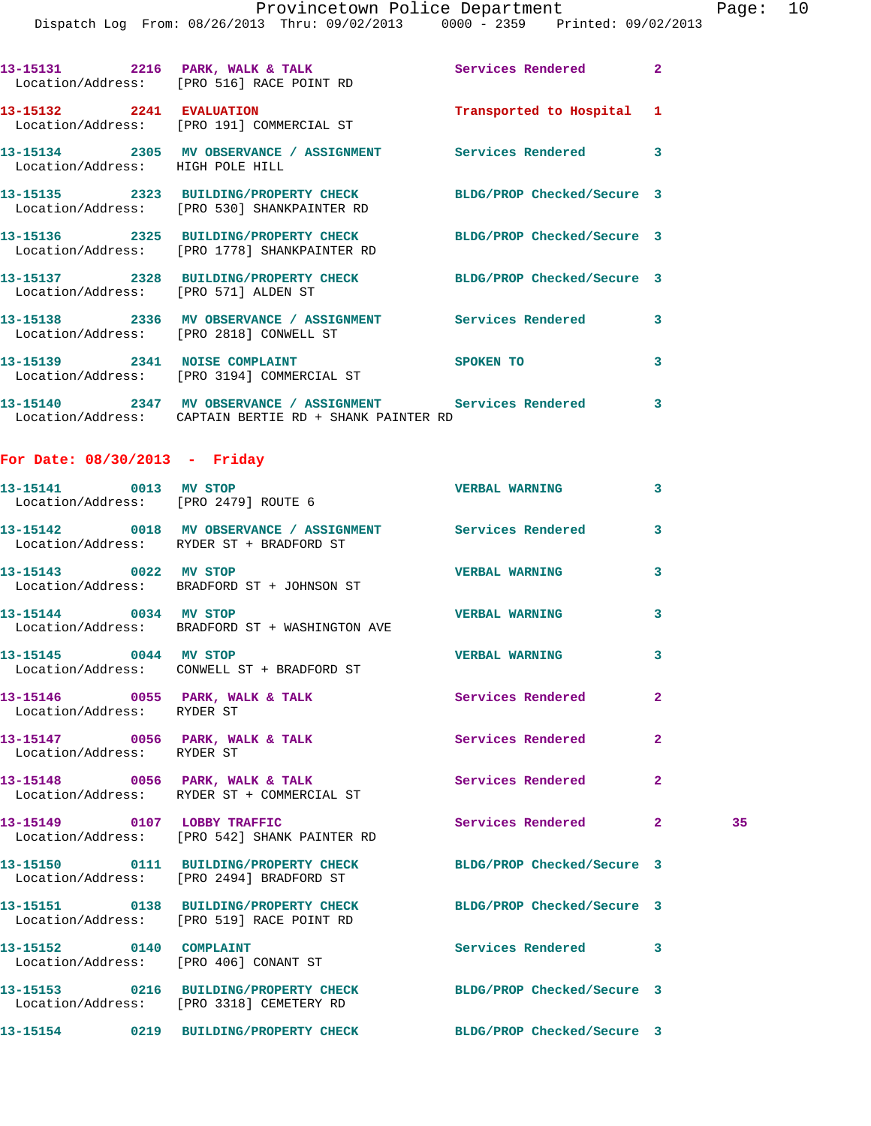|                                      | Provincetown Police Department Page: 10<br>Dispatch Log From: 08/26/2013 Thru: 09/02/2013 0000 - 2359 Printed: 09/02/2013 |                                                                                                                |              |    |  |
|--------------------------------------|---------------------------------------------------------------------------------------------------------------------------|----------------------------------------------------------------------------------------------------------------|--------------|----|--|
|                                      | 13-15131 2216 PARK, WALK & TALK 2 Services Rendered 2<br>Location/Address: [PRO 516] RACE POINT RD                        |                                                                                                                |              |    |  |
|                                      | 13-15132 2241 EVALUATION Transported to Hospital 1<br>Location/Address: [PRO 191] COMMERCIAL ST                           |                                                                                                                |              |    |  |
| Location/Address: HIGH POLE HILL     | 13-15134 2305 MV OBSERVANCE / ASSIGNMENT Services Rendered 3                                                              |                                                                                                                |              |    |  |
|                                      | 13-15135 2323 BUILDING/PROPERTY CHECK BLDG/PROP Checked/Secure 3<br>Location/Address: [PRO 530] SHANKPAINTER RD           |                                                                                                                |              |    |  |
|                                      | 13-15136 2325 BUILDING/PROPERTY CHECK BLDG/PROP Checked/Secure 3<br>Location/Address: [PRO 1778] SHANKPAINTER RD          |                                                                                                                |              |    |  |
| Location/Address: [PRO 571] ALDEN ST | 13-15137 2328 BUILDING/PROPERTY CHECK BLDG/PROP Checked/Secure 3                                                          |                                                                                                                |              |    |  |
|                                      | 13-15138 2336 MV OBSERVANCE / ASSIGNMENT Services Rendered 3<br>Location/Address: [PRO 2818] CONWELL ST                   |                                                                                                                |              |    |  |
|                                      | 13-15139 2341 NOISE COMPLAINT<br>Location/Address: [PRO 3194] COMMERCIAL ST                                               | SPOKEN TO AND TO A RESIDENCE OF A RESIDENCE OF A RESIDENCE OF A RESIDENCE OF A RESIDENCE OF A RESIDENCE OF A R | 3            |    |  |
|                                      | 13-15140 2347 MV OBSERVANCE / ASSIGNMENT Services Rendered 3<br>Location/Address: CAPTAIN BERTIE RD + SHANK PAINTER RD    |                                                                                                                |              |    |  |
| For Date: $08/30/2013$ - Friday      |                                                                                                                           |                                                                                                                |              |    |  |
|                                      | 13-15141 0013 MV STOP<br>Location/Address: [PRO 2479] ROUTE 6                                                             | <b>VERBAL WARNING</b>                                                                                          | 3            |    |  |
|                                      | 13-15142 0018 MV OBSERVANCE / ASSIGNMENT Services Rendered 3<br>Location/Address: RYDER ST + BRADFORD ST                  |                                                                                                                |              |    |  |
| 13-15143 0022 MV STOP                | Location/Address: BRADFORD ST + JOHNSON ST                                                                                | <b>VERBAL WARNING</b>                                                                                          | 3            |    |  |
|                                      | 13-15144 0034 MV STOP<br>Location/Address: BRADFORD ST + WASHINGTON AVE                                                   | <b>VERBAL WARNING</b>                                                                                          | 3            |    |  |
| 13-15145 0044 MV STOP                | Location/Address: CONWELL ST + BRADFORD ST                                                                                | <b>VERBAL WARNING</b>                                                                                          | 3            |    |  |
| Location/Address: RYDER ST           | 13-15146 0055 PARK, WALK & TALK 1988 Services Rendered 2                                                                  |                                                                                                                |              |    |  |
| Location/Address: RYDER ST           | 13-15147 0056 PARK, WALK & TALK 3 Services Rendered 2                                                                     |                                                                                                                |              |    |  |
|                                      | 13-15148 0056 PARK, WALK & TALK<br>Location/Address: RYDER ST + COMMERCIAL ST                                             | Services Rendered                                                                                              | $\mathbf{2}$ |    |  |
| 13-15149 0107 LOBBY TRAFFIC          | Location/Address: [PRO 542] SHANK PAINTER RD                                                                              | Services Rendered 2                                                                                            |              | 35 |  |
|                                      | 13-15150 0111 BUILDING/PROPERTY CHECK BLDG/PROP Checked/Secure 3<br>Location/Address: [PRO 2494] BRADFORD ST              |                                                                                                                |              |    |  |
|                                      | 13-15151 0138 BUILDING/PROPERTY CHECK BLDG/PROP Checked/Secure 3<br>Location/Address: [PRO 519] RACE POINT RD             |                                                                                                                |              |    |  |
| 13-15152 0140 COMPLAINT              | Location/Address: [PRO 406] CONANT ST                                                                                     | Services Rendered 3                                                                                            |              |    |  |
|                                      | 13-15153 0216 BUILDING/PROPERTY CHECK BLDG/PROP Checked/Secure 3<br>Location/Address: [PRO 3318] CEMETERY RD              |                                                                                                                |              |    |  |
|                                      | 13-15154      0219   BUILDING/PROPERTY CHECK        BLDG/PROP Checked/Secure 3                                            |                                                                                                                |              |    |  |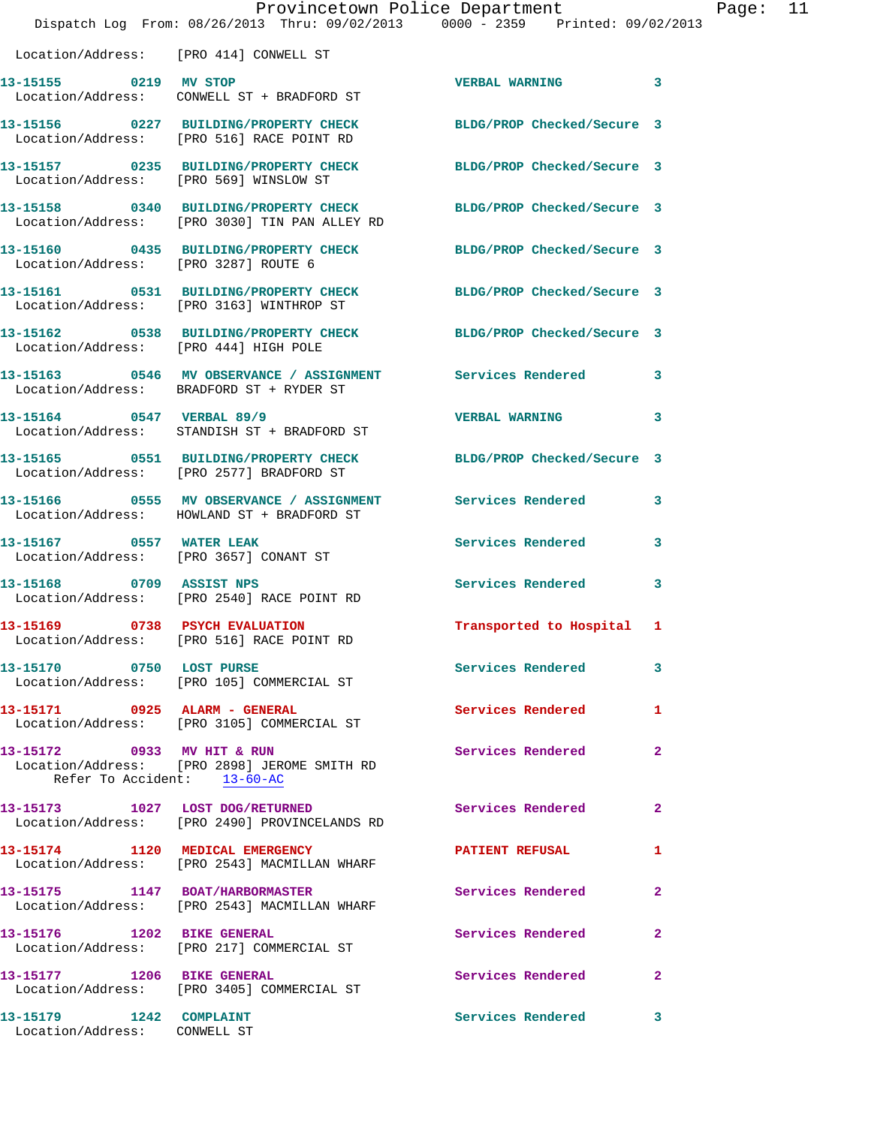|                                                           | Provincetown Police Department<br>Dispatch Log From: 08/26/2013 Thru: 09/02/2013 0000 - 2359 Printed: 09/02/2013 |                            |              |
|-----------------------------------------------------------|------------------------------------------------------------------------------------------------------------------|----------------------------|--------------|
| Location/Address: [PRO 414] CONWELL ST                    |                                                                                                                  |                            |              |
| 13-15155 0219 MV STOP                                     | Location/Address: CONWELL ST + BRADFORD ST                                                                       | <b>VERBAL WARNING</b>      | 3            |
|                                                           | 13-15156 0227 BUILDING/PROPERTY CHECK<br>Location/Address: [PRO 516] RACE POINT RD                               | BLDG/PROP Checked/Secure 3 |              |
| Location/Address: [PRO 569] WINSLOW ST                    | 13-15157 0235 BUILDING/PROPERTY CHECK                                                                            | BLDG/PROP Checked/Secure 3 |              |
|                                                           | 13-15158 0340 BUILDING/PROPERTY CHECK<br>Location/Address: [PRO 3030] TIN PAN ALLEY RD                           | BLDG/PROP Checked/Secure 3 |              |
| Location/Address: [PRO 3287] ROUTE 6                      | 13-15160 0435 BUILDING/PROPERTY CHECK                                                                            | BLDG/PROP Checked/Secure 3 |              |
|                                                           | 13-15161 0531 BUILDING/PROPERTY CHECK<br>Location/Address: [PRO 3163] WINTHROP ST                                | BLDG/PROP Checked/Secure 3 |              |
| Location/Address: [PRO 444] HIGH POLE                     | 13-15162 0538 BUILDING/PROPERTY CHECK                                                                            | BLDG/PROP Checked/Secure 3 |              |
|                                                           | Location/Address: BRADFORD ST + RYDER ST                                                                         |                            | 3            |
|                                                           | 13-15164 0547 VERBAL 89/9<br>Location/Address: STANDISH ST + BRADFORD ST                                         | <b>VERBAL WARNING</b>      | 3            |
|                                                           | 13-15165 0551 BUILDING/PROPERTY CHECK<br>Location/Address: [PRO 2577] BRADFORD ST                                | BLDG/PROP Checked/Secure 3 |              |
|                                                           | 13-15166 0555 MV OBSERVANCE / ASSIGNMENT<br>Location/Address: HOWLAND ST + BRADFORD ST                           | Services Rendered          | 3            |
| 13-15167 0557 WATER LEAK                                  | Location/Address: [PRO 3657] CONANT ST                                                                           | Services Rendered          | 3            |
|                                                           | 13-15168 0709 ASSIST NPS<br>Location/Address: [PRO 2540] RACE POINT RD                                           | Services Rendered          | 3            |
| 13-15169 0738 PSYCH EVALUATION                            | Location/Address: [PRO 516] RACE POINT RD                                                                        | Transported to Hospital 1  |              |
| 13-15170 0750 LOST PURSE                                  | Location/Address: [PRO 105] COMMERCIAL ST                                                                        | <b>Services Rendered</b>   | 3            |
| 13-15171 0925 ALARM - GENERAL                             | Location/Address: [PRO 3105] COMMERCIAL ST                                                                       | Services Rendered          | 1            |
| 13-15172 0933 MV HIT & RUN<br>Refer To Accident: 13-60-AC | Location/Address: [PRO 2898] JEROME SMITH RD                                                                     | <b>Services Rendered</b>   | $\mathbf{2}$ |
| 13-15173 1027 LOST DOG/RETURNED                           | Location/Address: [PRO 2490] PROVINCELANDS RD                                                                    | Services Rendered          | $\mathbf{2}$ |
|                                                           | 13-15174 1120 MEDICAL EMERGENCY<br>Location/Address: [PRO 2543] MACMILLAN WHARF                                  | <b>PATIENT REFUSAL</b>     | 1            |
| 13-15175 1147 BOAT/HARBORMASTER                           | Location/Address: [PRO 2543] MACMILLAN WHARF                                                                     | Services Rendered          | $\mathbf{2}$ |
|                                                           | Location/Address: [PRO 217] COMMERCIAL ST                                                                        | Services Rendered          | 2            |
| 13-15177 1206 BIKE GENERAL                                | Location/Address: [PRO 3405] COMMERCIAL ST                                                                       | Services Rendered          | 2            |
| 13-15179 1242 COMPLAINT<br>Location/Address: CONWELL ST   |                                                                                                                  | <b>Services Rendered</b>   | 3            |

Page: 11<br>013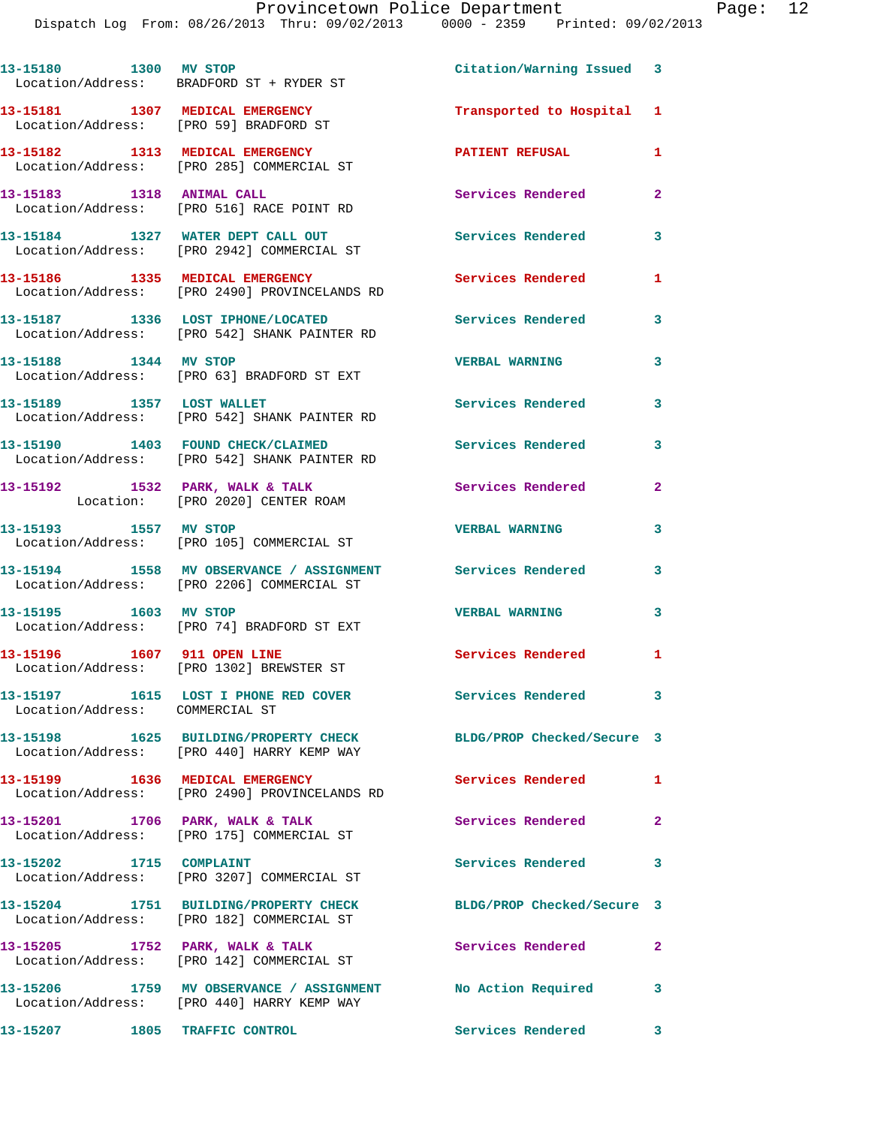| 13-15180 1300 MV STOP                       | Location/Address: BRADFORD ST + RYDER ST                                                                  | Citation/Warning Issued 3  |              |
|---------------------------------------------|-----------------------------------------------------------------------------------------------------------|----------------------------|--------------|
| 13-15181 1307 MEDICAL EMERGENCY             | Location/Address: [PRO 59] BRADFORD ST                                                                    | Transported to Hospital 1  |              |
|                                             | 13-15182 1313 MEDICAL EMERGENCY<br>Location/Address: [PRO 285] COMMERCIAL ST                              | <b>PATIENT REFUSAL</b>     | 1            |
| 13-15183 1318 ANIMAL CALL                   | Location/Address: [PRO 516] RACE POINT RD                                                                 | Services Rendered          | $\mathbf{2}$ |
|                                             | 13-15184 1327 WATER DEPT CALL OUT<br>Location/Address: [PRO 2942] COMMERCIAL ST                           | <b>Services Rendered</b>   | 3            |
|                                             | 13-15186 1335 MEDICAL EMERGENCY<br>Location/Address: [PRO 2490] PROVINCELANDS RD                          | Services Rendered          | 1.           |
|                                             | 13-15187 1336 LOST IPHONE/LOCATED<br>Location/Address: [PRO 542] SHANK PAINTER RD                         | Services Rendered          | 3            |
| 13-15188 1344 MV STOP                       | Location/Address: [PRO 63] BRADFORD ST EXT                                                                | <b>VERBAL WARNING</b>      | 3            |
| 13-15189 1357 LOST WALLET                   | Location/Address: [PRO 542] SHANK PAINTER RD                                                              | <b>Services Rendered</b>   | 3            |
|                                             | 13-15190 1403 FOUND CHECK/CLAIMED<br>Location/Address: [PRO 542] SHANK PAINTER RD                         | Services Rendered          | 3            |
|                                             | 13-15192 1532 PARK, WALK & TALK<br>Location: [PRO 2020] CENTER ROAM                                       | <b>Services Rendered</b>   | $\mathbf{2}$ |
| 13-15193 1557 MV STOP                       | Location/Address: [PRO 105] COMMERCIAL ST                                                                 | <b>VERBAL WARNING</b>      | 3            |
|                                             | 13-15194 1558 MV OBSERVANCE / ASSIGNMENT Services Rendered<br>Location/Address: [PRO 2206] COMMERCIAL ST  |                            | 3            |
| 13-15195 1603 MV STOP                       | Location/Address: [PRO 74] BRADFORD ST EXT                                                                | <b>VERBAL WARNING</b>      | 3            |
| 13-15196 1607 911 OPEN LINE                 | Location/Address: [PRO 1302] BREWSTER ST                                                                  | <b>Services Rendered</b> 1 |              |
| 13-15197<br>Location/Address: COMMERCIAL ST | 1615 LOST I PHONE RED COVER Services Rendered                                                             |                            | $\mathbf{3}$ |
|                                             | 13-15198 1625 BUILDING/PROPERTY CHECK<br>Location/Address: [PRO 440] HARRY KEMP WAY                       | BLDG/PROP Checked/Secure 3 |              |
| 13-15199 1636 MEDICAL EMERGENCY             | Location/Address: [PRO 2490] PROVINCELANDS RD                                                             | Services Rendered          | $\mathbf{1}$ |
| 13-15201 1706 PARK, WALK & TALK             | Location/Address: [PRO 175] COMMERCIAL ST                                                                 | <b>Services Rendered</b>   | $\mathbf{2}$ |
| 13-15202 1715 COMPLAINT                     | Location/Address: [PRO 3207] COMMERCIAL ST                                                                | <b>Services Rendered</b>   | 3            |
|                                             | 13-15204 1751 BUILDING/PROPERTY CHECK<br>Location/Address: [PRO 182] COMMERCIAL ST                        | BLDG/PROP Checked/Secure 3 |              |
|                                             | 13-15205 1752 PARK, WALK & TALK<br>Location/Address: [PRO 142] COMMERCIAL ST                              | Services Rendered          | $\mathbf{2}$ |
|                                             | 13-15206 1759 MV OBSERVANCE / ASSIGNMENT No Action Required<br>Location/Address: [PRO 440] HARRY KEMP WAY |                            | 3            |
| 13-15207 1805 TRAFFIC CONTROL               |                                                                                                           | Services Rendered          | 3            |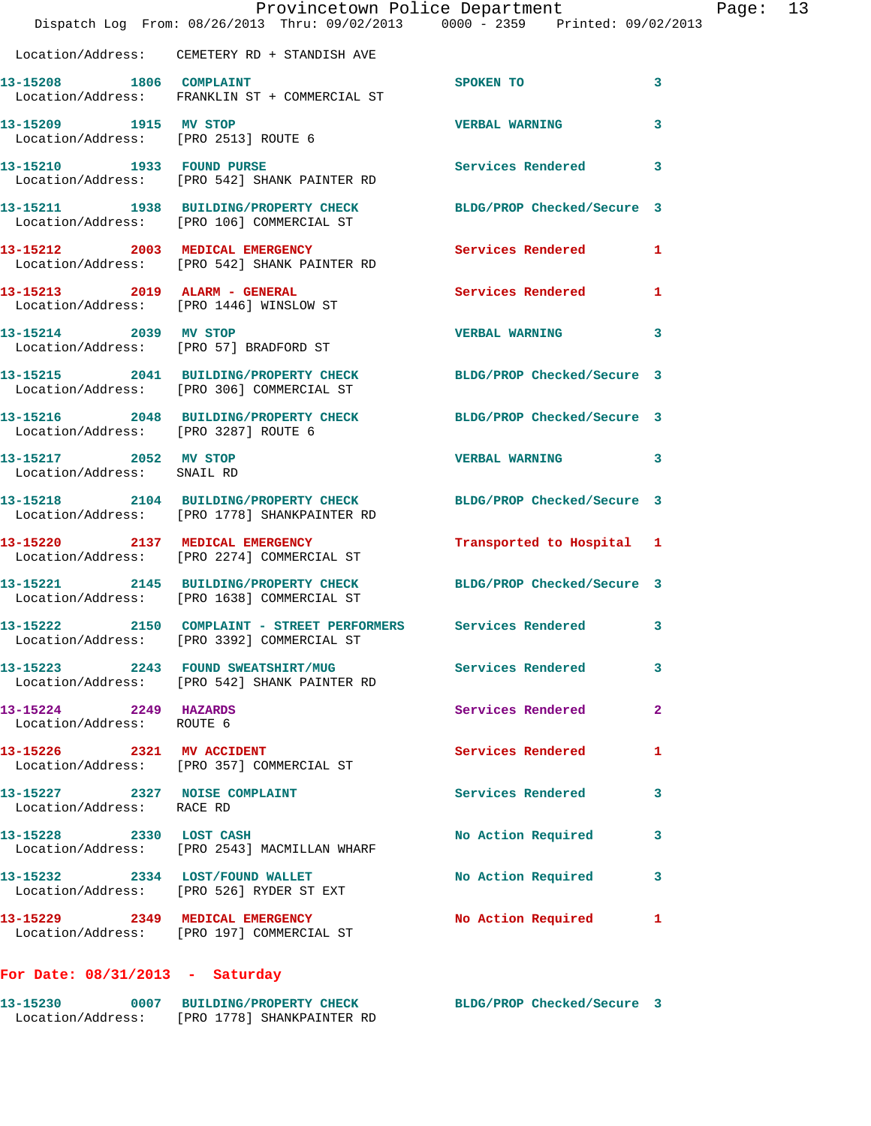|                                                               | Dispatch Log From: 08/26/2013 Thru: 09/02/2013 0000 - 2359 Printed: 09/02/2013                                | Provincetown Police Department | Page: 13                |
|---------------------------------------------------------------|---------------------------------------------------------------------------------------------------------------|--------------------------------|-------------------------|
|                                                               | Location/Address: CEMETERY RD + STANDISH AVE                                                                  |                                |                         |
| 13-15208 1806 COMPLAINT                                       | Location/Address: FRANKLIN ST + COMMERCIAL ST                                                                 | SPOKEN TO                      | 3                       |
| 13-15209 1915 MV STOP<br>Location/Address: [PRO 2513] ROUTE 6 |                                                                                                               | <b>VERBAL WARNING</b>          | 3                       |
|                                                               | 13-15210 1933 FOUND PURSE<br>Location/Address: [PRO 542] SHANK PAINTER RD                                     | <b>Services Rendered</b>       | $\overline{\mathbf{3}}$ |
|                                                               | 13-15211 1938 BUILDING/PROPERTY CHECK BLDG/PROP Checked/Secure 3<br>Location/Address: [PRO 106] COMMERCIAL ST |                                |                         |
|                                                               | 13-15212 2003 MEDICAL EMERGENCY<br>Location/Address: [PRO 542] SHANK PAINTER RD                               | <b>Services Rendered</b> 1     |                         |
|                                                               | 13-15213 2019 ALARM - GENERAL<br>Location/Address: [PRO 1446] WINSLOW ST                                      | Services Rendered              | 1                       |
| 13-15214 2039 MV STOP                                         | Location/Address: [PRO 57] BRADFORD ST                                                                        | VERBAL WARNING 3               |                         |
|                                                               | 13-15215 2041 BUILDING/PROPERTY CHECK BLDG/PROP Checked/Secure 3<br>Location/Address: [PRO 306] COMMERCIAL ST |                                |                         |
| Location/Address: [PRO 3287] ROUTE 6                          | 13-15216 2048 BUILDING/PROPERTY CHECK BLDG/PROP Checked/Secure 3                                              |                                |                         |
| 13-15217 2052 MV STOP<br>Location/Address: SNAIL RD           |                                                                                                               | <b>VERBAL WARNING</b>          | 3                       |
|                                                               | 13-15218 2104 BUILDING/PROPERTY CHECK<br>Location/Address: [PRO 1778] SHANKPAINTER RD                         | BLDG/PROP Checked/Secure 3     |                         |
|                                                               | 13-15220 2137 MEDICAL EMERGENCY<br>Location/Address: [PRO 2274] COMMERCIAL ST                                 | Transported to Hospital 1      |                         |
|                                                               | 13-15221 2145 BUILDING/PROPERTY CHECK<br>Location/Address: [PRO 1638] COMMERCIAL ST                           | BLDG/PROP Checked/Secure 3     |                         |
| Location/Address:                                             | 13-15222 2150 COMPLAINT - STREET PERFORMERS Services Rendered 3<br>[PRO 3392] COMMERCIAL ST                   |                                |                         |
|                                                               | 13-15223 2243 FOUND SWEATSHIRT/MUG<br>Location/Address: [PRO 542] SHANK PAINTER RD                            | <b>Services Rendered</b>       | 3                       |
| 13-15224 2249 HAZARDS<br>Location/Address: ROUTE 6            |                                                                                                               | <b>Services Rendered</b>       | $\mathbf{2}$            |
| 13-15226 2321 MV ACCIDENT                                     | Location/Address: [PRO 357] COMMERCIAL ST                                                                     | <b>Services Rendered</b>       | 1                       |
| Location/Address: RACE RD                                     | 13-15227 2327 NOISE COMPLAINT                                                                                 | <b>Services Rendered</b>       | 3                       |
| 13-15228 2330 LOST CASH                                       | Location/Address: [PRO 2543] MACMILLAN WHARF                                                                  | No Action Required             | 3                       |
|                                                               | 13-15232 2334 LOST/FOUND WALLET<br>Location/Address: [PRO 526] RYDER ST EXT                                   | No Action Required             | 3                       |
|                                                               | 13-15229 2349 MEDICAL EMERGENCY<br>Location/Address: [PRO 197] COMMERCIAL ST                                  | <b>No Action Required</b>      | 1                       |
|                                                               |                                                                                                               |                                |                         |

## **For Date: 08/31/2013 - Saturday**

| 13-15230          | 0007 BUILDING/PROPERTY CHECK | BLDG/PROP Checked/Secure 3 |  |
|-------------------|------------------------------|----------------------------|--|
| Location/Address: | [PRO 1778] SHANKPAINTER RD   |                            |  |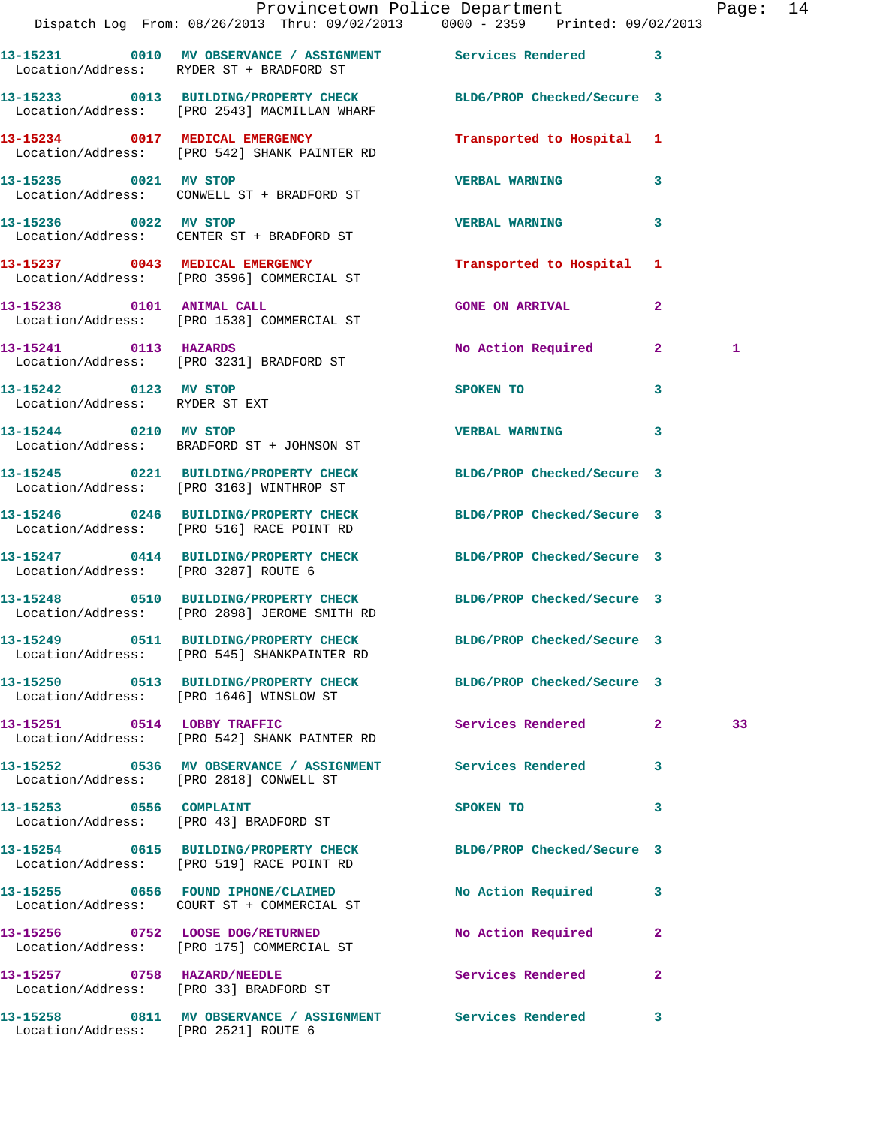|                                                         |                                                                                                       | Provincetown Police Department<br>Dispatch Log From: 08/26/2013 Thru: 09/02/2013 0000 - 2359 Printed: 09/02/2013    | Page: 14 |
|---------------------------------------------------------|-------------------------------------------------------------------------------------------------------|---------------------------------------------------------------------------------------------------------------------|----------|
|                                                         | Location/Address: RYDER ST + BRADFORD ST                                                              | 13-15231 0010 MV OBSERVANCE / ASSIGNMENT Services Rendered 3                                                        |          |
|                                                         | Location/Address: [PRO 2543] MACMILLAN WHARF                                                          | 13-15233 0013 BUILDING/PROPERTY CHECK BLDG/PROP Checked/Secure 3                                                    |          |
|                                                         | 13-15234 0017 MEDICAL EMERGENCY<br>Location/Address: [PRO 542] SHANK PAINTER RD                       | Transported to Hospital 1                                                                                           |          |
| 13-15235 0021 MV STOP                                   | Location/Address: CONWELL ST + BRADFORD ST                                                            | <b>VERBAL WARNING</b><br>3                                                                                          |          |
| 13-15236 0022 MV STOP                                   | Location/Address: CENTER ST + BRADFORD ST                                                             | $\mathbf{3}$<br><b>VERBAL WARNING</b>                                                                               |          |
|                                                         | 13-15237 0043 MEDICAL EMERGENCY<br>Location/Address: [PRO 3596] COMMERCIAL ST                         | Transported to Hospital 1                                                                                           |          |
|                                                         | 13-15238 0101 ANIMAL CALL<br>Location/Address: [PRO 1538] COMMERCIAL ST                               | $\overline{2}$<br><b>GONE ON ARRIVAL</b>                                                                            |          |
|                                                         | 13-15241 0113 HAZARDS<br>Location/Address: [PRO 3231] BRADFORD ST                                     | No Action Required 2                                                                                                | 1        |
| 13-15242 0123 MV STOP<br>Location/Address: RYDER ST EXT |                                                                                                       | SPOKEN TO THE STATE OF THE STATE OF THE STATE OF THE STATE OF THE STATE OF THE STATE OF THE STATE OF THE STATE<br>3 |          |
|                                                         | 13-15244 0210 MV STOP<br>Location/Address: BRADFORD ST + JOHNSON ST                                   | <b>VERBAL WARNING</b><br>$\mathbf{3}$                                                                               |          |
|                                                         | Location/Address: [PRO 3163] WINTHROP ST                                                              | 13-15245 0221 BUILDING/PROPERTY CHECK BLDG/PROP Checked/Secure 3                                                    |          |
|                                                         |                                                                                                       | 13-15246 0246 BUILDING/PROPERTY CHECK BLDG/PROP Checked/Secure 3<br>Location/Address: [PRO 516] RACE POINT RD       |          |
|                                                         |                                                                                                       | 13-15247 0414 BUILDING/PROPERTY CHECK BLDG/PROP Checked/Secure 3<br>Location/Address: [PRO 3287] ROUTE 6            |          |
|                                                         | Location/Address: [PRO 2898] JEROME SMITH RD                                                          | 13-15248 0510 BUILDING/PROPERTY CHECK BLDG/PROP Checked/Secure 3                                                    |          |
|                                                         | 13-15249 0511 BUILDING/PROPERTY CHECK<br>Location/Address: [PRO 545] SHANKPAINTER RD                  | BLDG/PROP Checked/Secure 3                                                                                          |          |
|                                                         | Location/Address: [PRO 1646] WINSLOW ST                                                               | 13-15250 0513 BUILDING/PROPERTY CHECK BLDG/PROP Checked/Secure 3                                                    |          |
|                                                         | 13-15251 0514 LOBBY TRAFFIC<br>Location/Address: [PRO 542] SHANK PAINTER RD                           | Services Rendered 2                                                                                                 | 33       |
|                                                         | 13-15252 0536 MV OBSERVANCE / ASSIGNMENT Services Rendered<br>Location/Address: [PRO 2818] CONWELL ST | $\mathbf{3}$                                                                                                        |          |
| 13-15253 0556 COMPLAINT                                 | Location/Address: [PRO 43] BRADFORD ST                                                                | SPOKEN TO<br>3                                                                                                      |          |
|                                                         | Location/Address: [PRO 519] RACE POINT RD                                                             | 13-15254 0615 BUILDING/PROPERTY CHECK BLDG/PROP Checked/Secure 3                                                    |          |
|                                                         | 13-15255 0656 FOUND IPHONE/CLAIMED<br>Location/Address: COURT ST + COMMERCIAL ST                      | No Action Required 3                                                                                                |          |
|                                                         | 13-15256 0752 LOOSE DOG/RETURNED<br>Location/Address: [PRO 175] COMMERCIAL ST                         | No Action Required<br>$\mathbf{2}$                                                                                  |          |
| 13-15257 0758 HAZARD/NEEDLE                             | Location/Address: [PRO 33] BRADFORD ST                                                                | Services Rendered<br>$\mathbf{2}$                                                                                   |          |
|                                                         |                                                                                                       | 13-15258 0811 MV OBSERVANCE / ASSIGNMENT Services Rendered 3                                                        |          |

Location/Address: [PRO 2521] ROUTE 6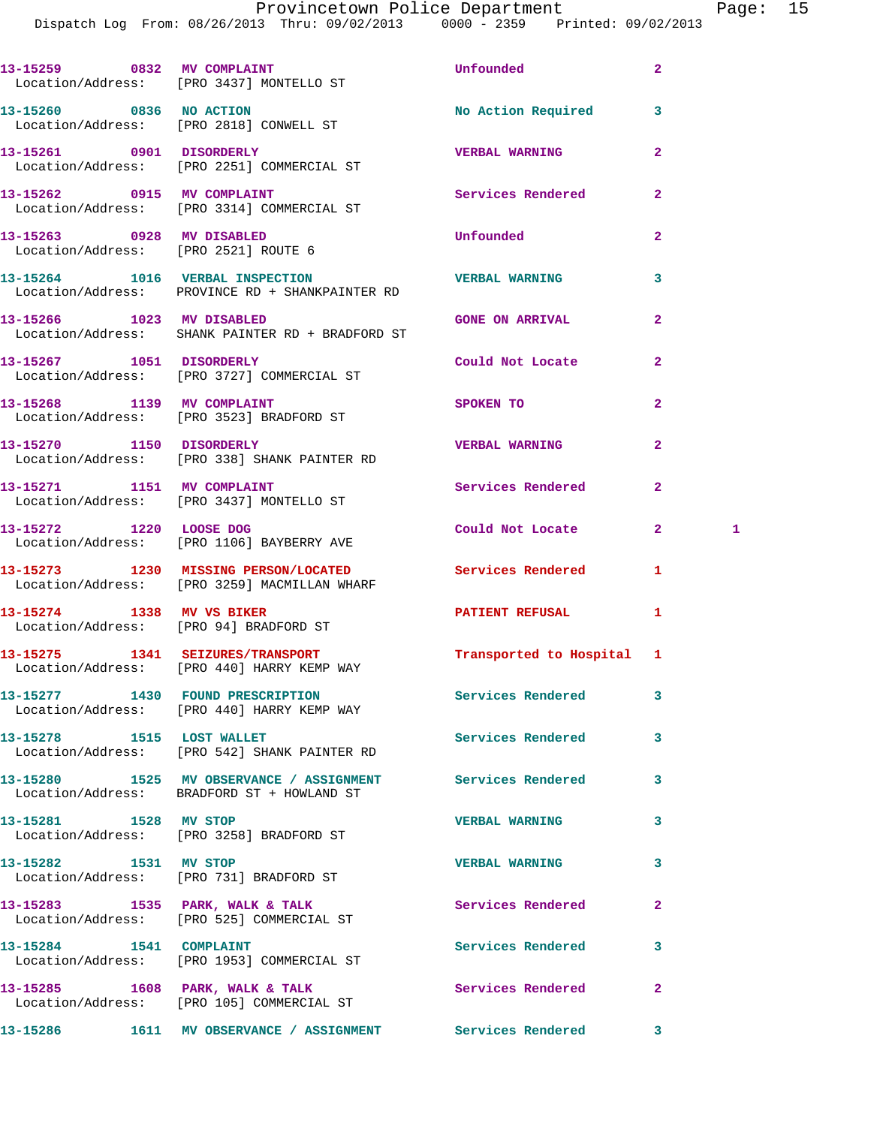Provincetown Police Department Page: 15

Dispatch Log From: 08/26/2013 Thru: 09/02/2013 0000 - 2359 Printed: 09/02/2013

|                                                                   | 13-15259 0832 MV COMPLAINT<br>Location/Address: [PRO 3437] MONTELLO ST                                   | <b>Unfounded</b>          | $\overline{2}$      |
|-------------------------------------------------------------------|----------------------------------------------------------------------------------------------------------|---------------------------|---------------------|
| 13-15260 0836 NO ACTION                                           | Location/Address: [PRO 2818] CONWELL ST                                                                  | No Action Required        | 3                   |
|                                                                   | 13-15261 0901 DISORDERLY<br>Location/Address: [PRO 2251] COMMERCIAL ST                                   | <b>VERBAL WARNING</b>     | $\mathbf{2}$        |
|                                                                   | 13-15262 0915 MV COMPLAINT<br>Location/Address: [PRO 3314] COMMERCIAL ST                                 | Services Rendered         | $\mathbf{2}$        |
| 13-15263 0928 MV DISABLED<br>Location/Address: [PRO 2521] ROUTE 6 |                                                                                                          | Unfounded                 | $\overline{a}$      |
|                                                                   | 13-15264 1016 VERBAL INSPECTION<br>Location/Address: PROVINCE RD + SHANKPAINTER RD                       | <b>VERBAL WARNING</b>     | 3                   |
| 13-15266 1023 MV DISABLED                                         | Location/Address: SHANK PAINTER RD + BRADFORD ST                                                         | <b>GONE ON ARRIVAL</b>    | $\overline{2}$      |
| 13-15267 1051 DISORDERLY                                          | Location/Address: [PRO 3727] COMMERCIAL ST                                                               | Could Not Locate          | $\overline{2}$      |
|                                                                   | 13-15268 1139 MV COMPLAINT<br>Location/Address: [PRO 3523] BRADFORD ST                                   | SPOKEN TO                 | $\overline{2}$      |
| 13-15270 1150 DISORDERLY                                          | Location/Address: [PRO 338] SHANK PAINTER RD                                                             | <b>VERBAL WARNING</b>     | $\overline{a}$      |
|                                                                   | 13-15271 1151 MV COMPLAINT<br>Location/Address: [PRO 3437] MONTELLO ST                                   | Services Rendered         | $\mathbf{2}$        |
| 13-15272 1220 LOOSE DOG                                           | Location/Address: [PRO 1106] BAYBERRY AVE                                                                | Could Not Locate          | $\mathbf{2}^-$<br>1 |
|                                                                   | 13-15273 1230 MISSING PERSON/LOCATED Services Rendered<br>Location/Address: [PRO 3259] MACMILLAN WHARF   |                           | 1                   |
| 13-15274 1338 MV VS BIKER                                         | Location/Address: [PRO 94] BRADFORD ST                                                                   | PATIENT REFUSAL           | 1                   |
|                                                                   | 13-15275 1341 SEIZURES/TRANSPORT<br>Location/Address: [PRO 440] HARRY KEMP WAY                           | Transported to Hospital 1 |                     |
|                                                                   | 13-15277 1430 FOUND PRESCRIPTION<br>Location/Address: [PRO 440] HARRY KEMP WAY                           | <b>Services Rendered</b>  | 3                   |
|                                                                   | 13-15278 1515 LOST WALLET<br>Location/Address: [PRO 542] SHANK PAINTER RD                                | <b>Services Rendered</b>  | 3                   |
|                                                                   | 13-15280 1525 MV OBSERVANCE / ASSIGNMENT Services Rendered<br>Location/Address: BRADFORD ST + HOWLAND ST |                           | 3                   |
| 13-15281 1528 MV STOP                                             | Location/Address: [PRO 3258] BRADFORD ST                                                                 | <b>VERBAL WARNING</b>     | 3                   |
| 13-15282 1531 MV STOP                                             | Location/Address: [PRO 731] BRADFORD ST                                                                  | <b>VERBAL WARNING</b>     | 3                   |
|                                                                   | 13-15283 1535 PARK, WALK & TALK<br>Location/Address: [PRO 525] COMMERCIAL ST                             | Services Rendered         | $\mathbf{2}$        |
| 13-15284 1541 COMPLAINT                                           | Location/Address: [PRO 1953] COMMERCIAL ST                                                               | Services Rendered         | 3                   |
|                                                                   | 13-15285 1608 PARK, WALK & TALK<br>Location/Address: [PRO 105] COMMERCIAL ST                             | Services Rendered         | $\mathbf{2}$        |
|                                                                   | 13-15286 1611 MV OBSERVANCE / ASSIGNMENT Services Rendered 3                                             |                           |                     |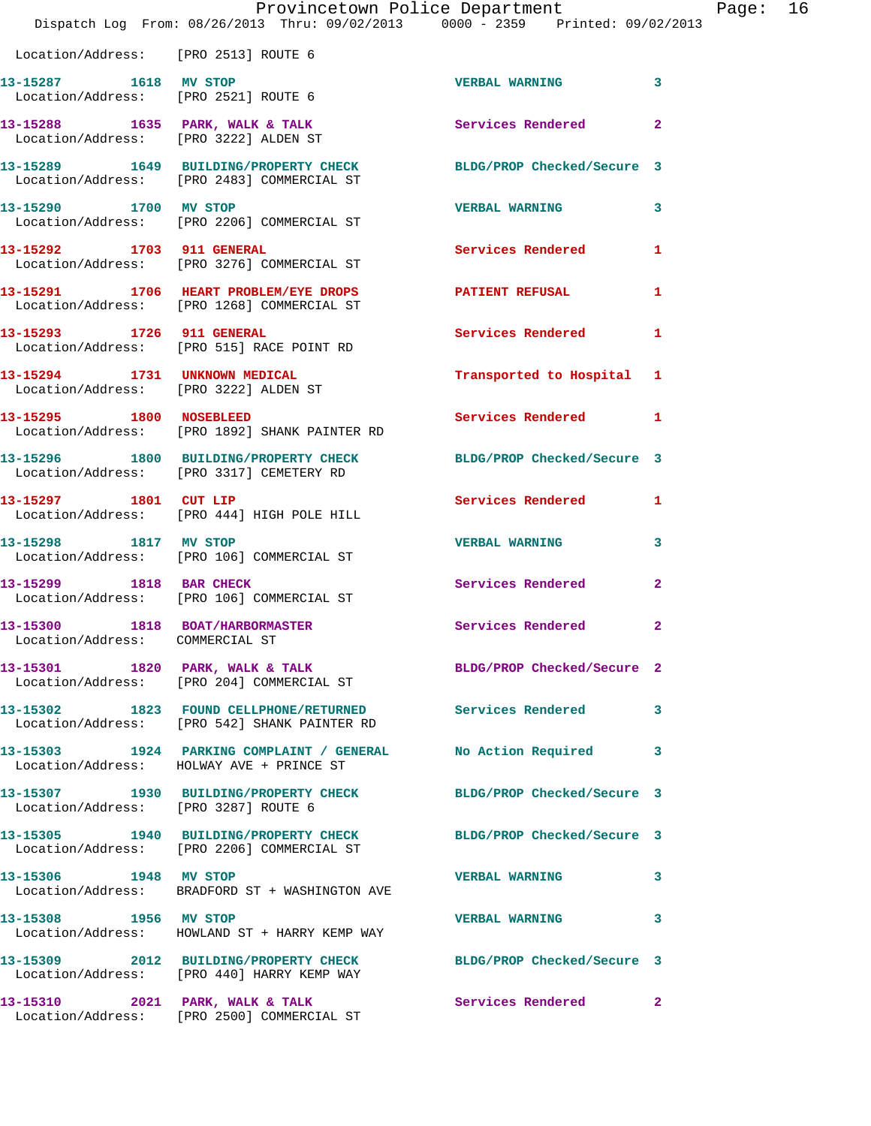|                                                               | Provincetown Police Department<br>Dispatch Log From: 08/26/2013 Thru: 09/02/2013 0000 - 2359 Printed: 09/02/2013 |                            | P              |
|---------------------------------------------------------------|------------------------------------------------------------------------------------------------------------------|----------------------------|----------------|
| Location/Address: [PRO 2513] ROUTE 6                          |                                                                                                                  |                            |                |
| 13-15287 1618 MV STOP<br>Location/Address: [PRO 2521] ROUTE 6 |                                                                                                                  | <b>VERBAL WARNING</b>      | 3              |
| Location/Address: [PRO 3222] ALDEN ST                         | 13-15288 1635 PARK, WALK & TALK                                                                                  | <b>Services Rendered</b>   | $\overline{a}$ |
|                                                               | 13-15289 1649 BUILDING/PROPERTY CHECK BLDG/PROP Checked/Secure 3<br>Location/Address: [PRO 2483] COMMERCIAL ST   |                            |                |
| 13-15290 1700 MV STOP                                         | Location/Address: [PRO 2206] COMMERCIAL ST                                                                       | <b>VERBAL WARNING</b>      | 3              |
|                                                               | 13-15292 1703 911 GENERAL<br>Location/Address: [PRO 3276] COMMERCIAL ST                                          | Services Rendered          | 1              |
|                                                               | 13-15291 1706 HEART PROBLEM/EYE DROPS<br>Location/Address: [PRO 1268] COMMERCIAL ST                              | PATIENT REFUSAL            | 1              |
|                                                               | 13-15293 1726 911 GENERAL<br>Location/Address: [PRO 515] RACE POINT RD                                           | <b>Services Rendered</b>   | 1              |
| 13-15294 1731 UNKNOWN MEDICAL                                 | Location/Address: [PRO 3222] ALDEN ST                                                                            | Transported to Hospital    | 1              |
| 13-15295 1800 NOSEBLEED                                       | Location/Address: [PRO 1892] SHANK PAINTER RD                                                                    | Services Rendered          | 1              |
|                                                               | 13-15296 1800 BUILDING/PROPERTY CHECK BLDG/PROP Checked/Secure 3<br>Location/Address: [PRO 3317] CEMETERY RD     |                            |                |
| 13-15297 1801 CUT LIP                                         | Location/Address: [PRO 444] HIGH POLE HILL                                                                       | <b>Services Rendered</b>   | 1              |
| 13-15298 1817 MV STOP                                         | Location/Address: [PRO 106] COMMERCIAL ST                                                                        | <b>VERBAL WARNING</b>      | 3              |
| 13-15299 1818 BAR CHECK                                       | Location/Address: [PRO 106] COMMERCIAL ST                                                                        | <b>Services Rendered</b>   | $\overline{2}$ |
| 13-15300<br>Location/Address: COMMERCIAL ST                   | 1818 BOAT/HARBORMASTER                                                                                           | Services Rendered          | 2              |
|                                                               | 13-15301 1820 PARK, WALK & TALK<br>Location/Address: [PRO 204] COMMERCIAL ST                                     | BLDG/PROP Checked/Secure 2 |                |
|                                                               | 13-15302 1823 FOUND CELLPHONE/RETURNED Services Rendered<br>Location/Address: [PRO 542] SHANK PAINTER RD         |                            | 3              |
|                                                               | 13-15303 1924 PARKING COMPLAINT / GENERAL No Action Required<br>Location/Address: HOLWAY AVE + PRINCE ST         |                            | 3              |
| Location/Address: [PRO 3287] ROUTE 6                          | 13-15307 1930 BUILDING/PROPERTY CHECK                                                                            | BLDG/PROP Checked/Secure 3 |                |
|                                                               | 13-15305 1940 BUILDING/PROPERTY CHECK BLDG/PROP Checked/Secure 3<br>Location/Address: [PRO 2206] COMMERCIAL ST   |                            |                |
| 13-15306 1948 MV STOP                                         | Location/Address: BRADFORD ST + WASHINGTON AVE                                                                   | <b>VERBAL WARNING</b>      | 3              |
| 13-15308 1956 MV STOP                                         | Location/Address: HOWLAND ST + HARRY KEMP WAY                                                                    | <b>VERBAL WARNING</b>      | 3              |
|                                                               | 13-15309 2012 BUILDING/PROPERTY CHECK BLDG/PROP Checked/Secure 3<br>Location/Address: [PRO 440] HARRY KEMP WAY   |                            |                |
| 13-15310 2021 PARK, WALK & TALK                               | Location/Address: [PRO 2500] COMMERCIAL ST                                                                       | Services Rendered          | $\overline{2}$ |

age: 16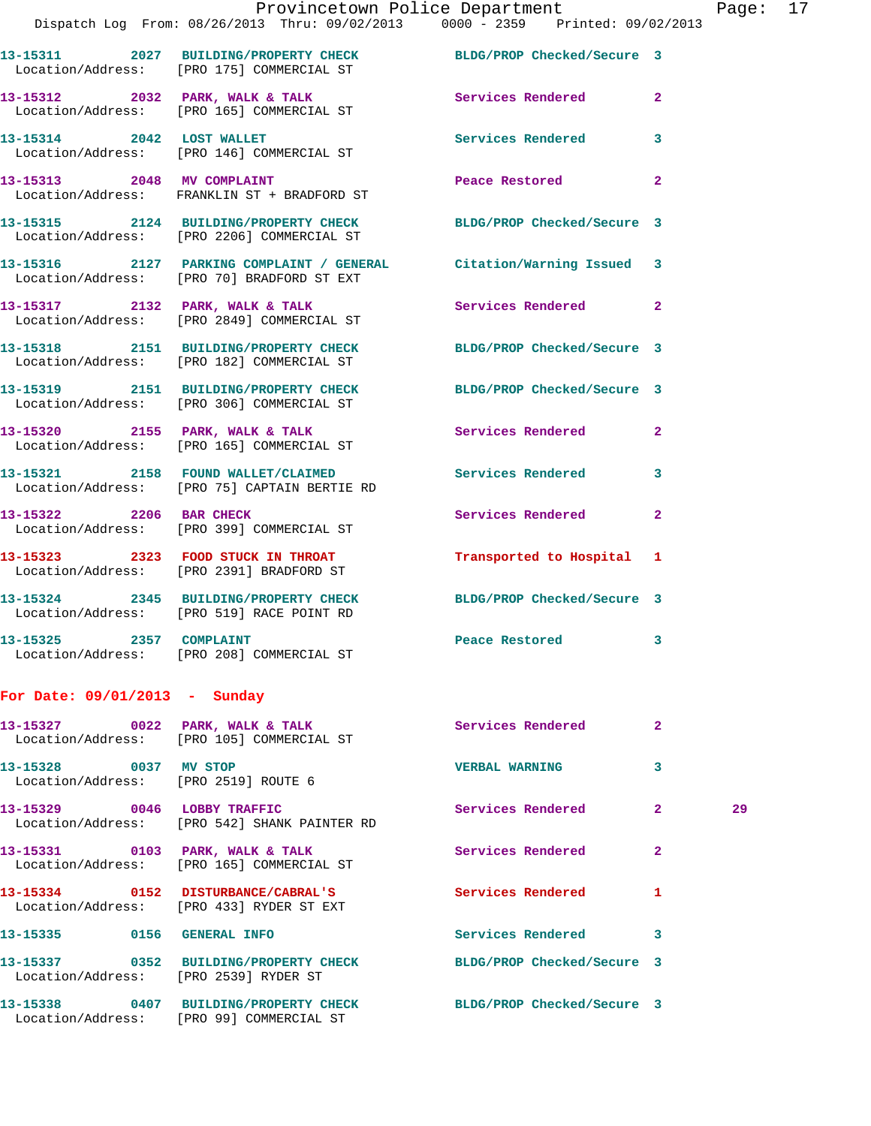|                                 | Provincetown Police Department<br>Dispatch Log From: 08/26/2013 Thru: 09/02/2013   0000 - 2359   Printed: 09/02/2013 |                            | Page               |
|---------------------------------|----------------------------------------------------------------------------------------------------------------------|----------------------------|--------------------|
|                                 |                                                                                                                      |                            |                    |
|                                 | 13-15311 2027 BUILDING/PROPERTY CHECK BLDG/PROP Checked/Secure 3<br>Location/Address: [PRO 175] COMMERCIAL ST        |                            |                    |
|                                 | 13-15312 2032 PARK, WALK & TALK<br>Location/Address: [PRO 165] COMMERCIAL ST                                         | Services Rendered 2        |                    |
|                                 | 13-15314 2042 LOST WALLET Services Rendered 3<br>Location/Address: [PRO 146] COMMERCIAL ST                           |                            |                    |
|                                 | 13-15313 2048 MV COMPLAINT<br>Location/Address: FRANKLIN ST + BRADFORD ST                                            | Peace Restored             | $\overline{2}$     |
|                                 | 13-15315 2124 BUILDING/PROPERTY CHECK BLDG/PROP Checked/Secure 3<br>Location/Address: [PRO 2206] COMMERCIAL ST       |                            |                    |
|                                 | 13-15316 2127 PARKING COMPLAINT / GENERAL Citation/Warning Issued 3<br>Location/Address: [PRO 70] BRADFORD ST EXT    |                            |                    |
|                                 | 13-15317 2132 PARK, WALK & TALK 2 Services Rendered 2<br>Location/Address: [PRO 2849] COMMERCIAL ST                  |                            |                    |
|                                 | 13-15318 2151 BUILDING/PROPERTY CHECK BLDG/PROP Checked/Secure 3<br>Location/Address: [PRO 182] COMMERCIAL ST        |                            |                    |
|                                 | 13-15319 2151 BUILDING/PROPERTY CHECK BLDG/PROP Checked/Secure 3<br>Location/Address: [PRO 306] COMMERCIAL ST        |                            |                    |
|                                 | 13-15320 2155 PARK, WALK & TALK 3 Services Rendered 2<br>Location/Address: [PRO 165] COMMERCIAL ST                   |                            |                    |
|                                 | 13-15321 2158 FOUND WALLET/CLAIMED Services Rendered<br>Location/Address: [PRO 75] CAPTAIN BERTIE RD                 |                            | $\mathbf{3}$       |
| 13-15322 2206 BAR CHECK         | Location/Address: [PRO 399] COMMERCIAL ST                                                                            | Services Rendered          | $\mathbf{2}$       |
|                                 | 13-15323  2323  FOOD STUCK IN THROAT      Transported to Hospital 1<br>Location/Address: [PRO 2391] BRADFORD ST      |                            |                    |
|                                 | 13-15324 2345 BUILDING/PROPERTY CHECK<br>Location/Address: [PRO 519] RACE POINT RD                                   | BLDG/PROP Checked/Secure 3 |                    |
| 13-15325 2357 COMPLAINT         | Location/Address: [PRO 208] COMMERCIAL ST                                                                            | Peace Restored             | 3                  |
| For Date: $09/01/2013$ - Sunday |                                                                                                                      |                            |                    |
|                                 | 13-15327 0022 PARK, WALK & TALK<br>Location/Address: [PRO 105] COMMERCIAL ST                                         | Services Rendered          | $\mathbf{2}$       |
| 13-15328 0037 MV STOP           | Location/Address: [PRO 2519] ROUTE 6                                                                                 | <b>VERBAL WARNING</b>      | 3                  |
|                                 | 13-15329 0046 LOBBY TRAFFIC<br>Location/Address: [PRO 542] SHANK PAINTER RD                                          | <b>Services Rendered</b>   | $\mathbf{2}$<br>29 |
| 13-15331 0103 PARK, WALK & TALK | Location/Address: [PRO 165] COMMERCIAL ST                                                                            | Services Rendered          | $\mathbf{2}$       |
|                                 | 13-15334 0152 DISTURBANCE/CABRAL'S<br>Location/Address: [PRO 433] RYDER ST EXT                                       | <b>Services Rendered</b>   | 1                  |
|                                 |                                                                                                                      |                            |                    |

**13-15335 0156 GENERAL INFO Services Rendered 3 13-15337 0352 BUILDING/PROPERTY CHECK BLDG/PROP Checked/Secure 3**  Location/Address: [PRO 2539] RYDER ST

**13-15338 0407 BUILDING/PROPERTY CHECK BLDG/PROP Checked/Secure 3**  Location/Address: [PRO 99] COMMERCIAL ST

Page: 17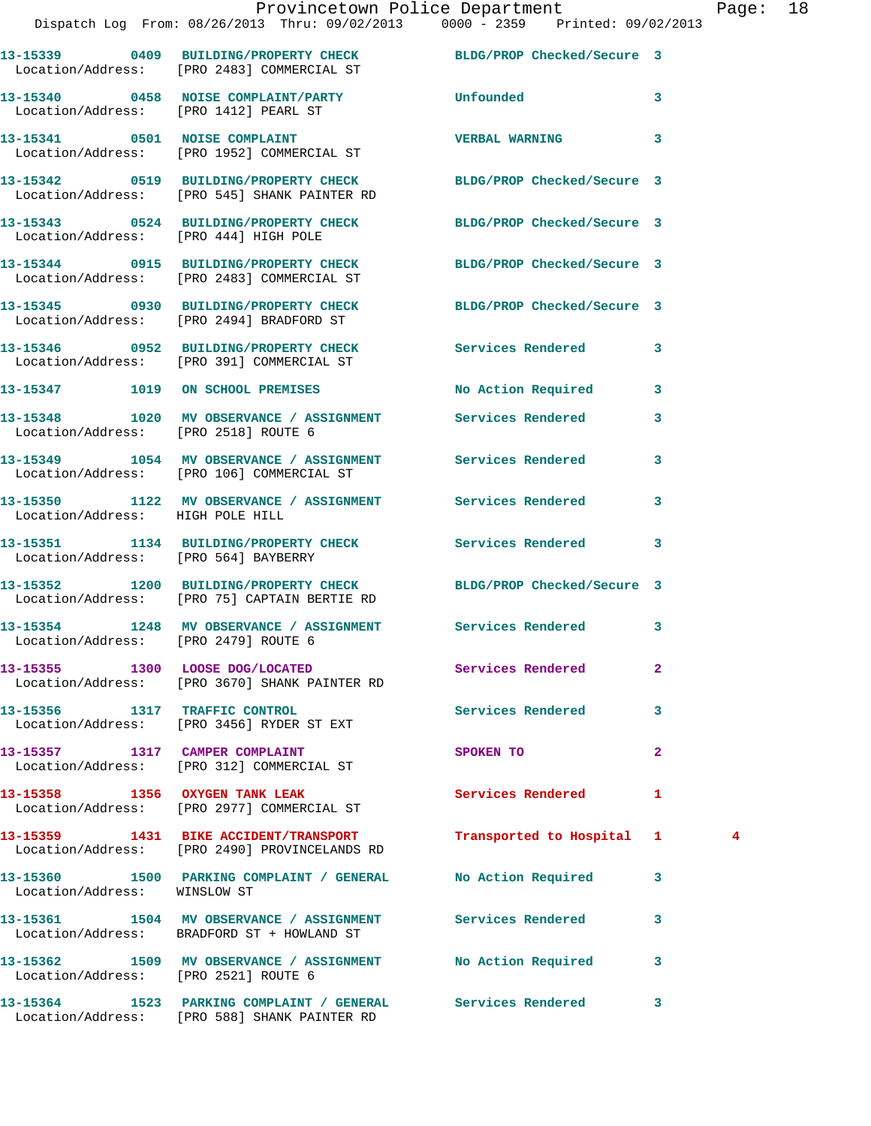|                                       | Dispatch Log From: 08/26/2013 Thru: 09/02/2013 0000 - 2359 Printed: 09/02/2013                                           | Provincetown Police Department |              | Page: 18 |  |
|---------------------------------------|--------------------------------------------------------------------------------------------------------------------------|--------------------------------|--------------|----------|--|
|                                       | 13-15339 0409 BUILDING/PROPERTY CHECK BLDG/PROP Checked/Secure 3<br>Location/Address: [PRO 2483] COMMERCIAL ST           |                                |              |          |  |
|                                       | 13-15340 0458 NOISE COMPLAINT/PARTY Unfounded<br>Location/Address: [PRO 1412] PEARL ST                                   |                                | $\mathbf{3}$ |          |  |
|                                       | 13-15341 0501 NOISE COMPLAINT<br>Location/Address: [PRO 1952] COMMERCIAL ST                                              | <b>VERBAL WARNING</b>          | 3            |          |  |
|                                       | 13-15342   0519   BUILDING/PROPERTY CHECK   BLDG/PROP Checked/Secure   3<br>Location/Address: [PRO 545] SHANK PAINTER RD |                                |              |          |  |
| Location/Address: [PRO 444] HIGH POLE | 13-15343 0524 BUILDING/PROPERTY CHECK BLDG/PROP Checked/Secure 3                                                         |                                |              |          |  |
|                                       | 13-15344 0915 BUILDING/PROPERTY CHECK BLDG/PROP Checked/Secure 3<br>Location/Address: [PRO 2483] COMMERCIAL ST           |                                |              |          |  |
|                                       | 13-15345 0930 BUILDING/PROPERTY CHECK<br>Location/Address: [PRO 2494] BRADFORD ST                                        | BLDG/PROP Checked/Secure 3     |              |          |  |
|                                       | 13-15346 0952 BUILDING/PROPERTY CHECK Services Rendered 3<br>Location/Address: [PRO 391] COMMERCIAL ST                   |                                |              |          |  |
|                                       | 13-15347 1019 ON SCHOOL PREMISES                                                                                         | No Action Required 3           |              |          |  |
| Location/Address: [PRO 2518] ROUTE 6  | 13-15348 1020 MV OBSERVANCE / ASSIGNMENT Services Rendered                                                               |                                | 3            |          |  |
|                                       | 13-15349 1054 MV OBSERVANCE / ASSIGNMENT Services Rendered 3<br>Location/Address: [PRO 106] COMMERCIAL ST                |                                |              |          |  |
| Location/Address: HIGH POLE HILL      | 13-15350 1122 MV OBSERVANCE / ASSIGNMENT Services Rendered                                                               |                                | 3            |          |  |
| Location/Address: [PRO 564] BAYBERRY  | 13-15351 1134 BUILDING/PROPERTY CHECK Services Rendered 3                                                                |                                |              |          |  |
|                                       | 13-15352 1200 BUILDING/PROPERTY CHECK BLDG/PROP Checked/Secure 3<br>Location/Address: [PRO 75] CAPTAIN BERTIE RD         |                                |              |          |  |
| Location/Address: [PRO 2479] ROUTE 6  | 13-15354 1248 MV OBSERVANCE / ASSIGNMENT Services Rendered 3                                                             |                                |              |          |  |
|                                       | 13-15355 1300 LOOSE DOG/LOCATED Services Rendered<br>Location/Address: [PRO 3670] SHANK PAINTER RD                       |                                | $\mathbf{2}$ |          |  |
|                                       | 13-15356 1317 TRAFFIC CONTROL<br>Location/Address: [PRO 3456] RYDER ST EXT                                               | Services Rendered              | 3            |          |  |
|                                       | 13-15357 1317 CAMPER COMPLAINT<br>Location/Address: [PRO 312] COMMERCIAL ST                                              | SPOKEN TO                      | $\mathbf{2}$ |          |  |
|                                       | 13-15358 1356 OXYGEN TANK LEAK<br>Location/Address: [PRO 2977] COMMERCIAL ST                                             | Services Rendered              | 1            |          |  |
|                                       | 13-15359 1431 BIKE ACCIDENT/TRANSPORT<br>Location/Address: [PRO 2490] PROVINCELANDS RD                                   | Transported to Hospital 1      |              | 4        |  |
| Location/Address: WINSLOW ST          | 13-15360 1500 PARKING COMPLAINT / GENERAL No Action Required 3                                                           |                                |              |          |  |
|                                       | 13-15361 1504 MV OBSERVANCE / ASSIGNMENT Services Rendered<br>Location/Address: BRADFORD ST + HOWLAND ST                 |                                | 3            |          |  |
| Location/Address: [PRO 2521] ROUTE 6  | 13-15362 1509 MV OBSERVANCE / ASSIGNMENT No Action Required 3                                                            |                                |              |          |  |
|                                       | 13-15364 1523 PARKING COMPLAINT / GENERAL Services Rendered                                                              |                                | $\mathbf{3}$ |          |  |

Location/Address: [PRO 588] SHANK PAINTER RD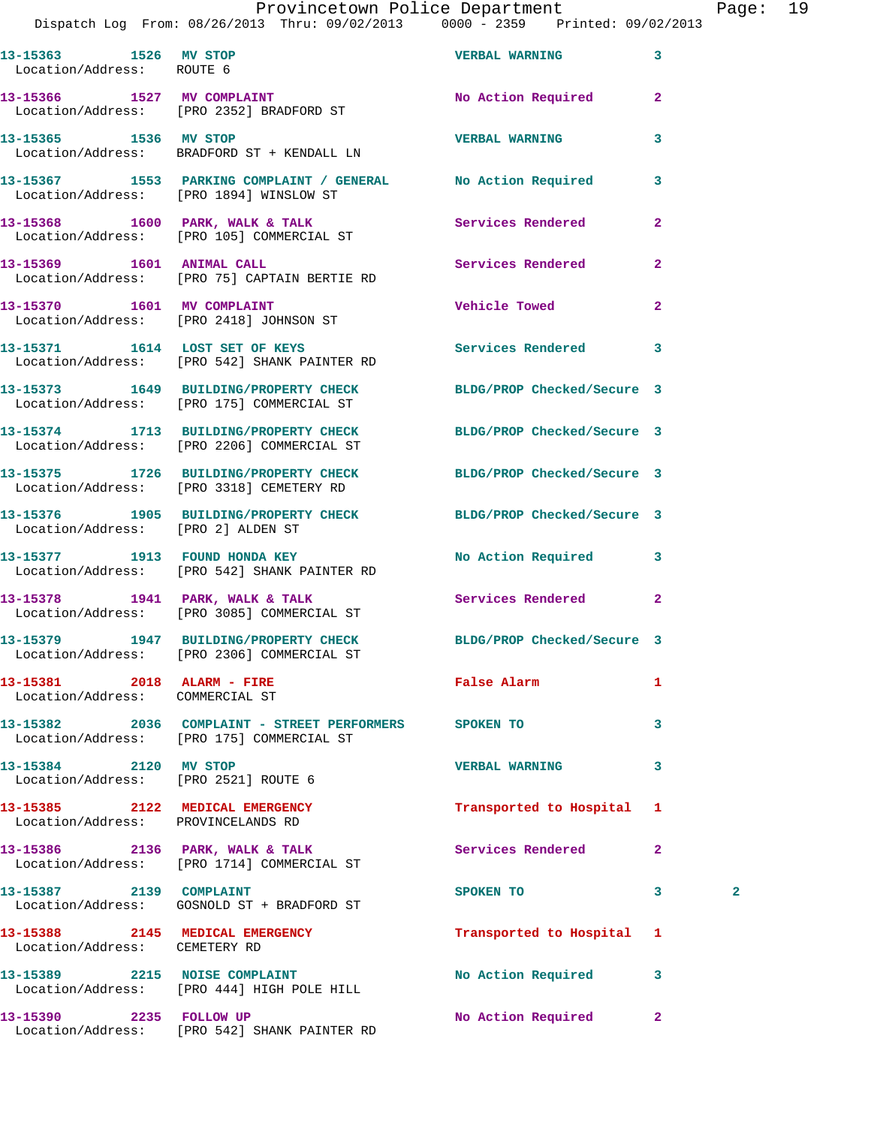## Provincetown Police Department Fage: 19

Dispatch Log From: 08/26/2013 Thru: 09/02/2013 0000 - 2359 Printed: 09/02/2013

|                                                                       | DISpatch Log From: 08/26/2013 Thru: 09/02/2013     0000 - 2359    Printed: 09/02/2013                          |                            |                   |  |
|-----------------------------------------------------------------------|----------------------------------------------------------------------------------------------------------------|----------------------------|-------------------|--|
| 13-15363 1526 MV STOP<br>Location/Address: ROUTE 6                    |                                                                                                                | <b>VERBAL WARNING</b>      | 3                 |  |
|                                                                       | 13-15366 1527 MV COMPLAINT<br>Location/Address: [PRO 2352] BRADFORD ST                                         | No Action Required         | $\overline{2}$    |  |
| 13-15365 1536 MV STOP                                                 | Location/Address: BRADFORD ST + KENDALL LN                                                                     | <b>VERBAL WARNING</b>      | 3                 |  |
|                                                                       | 13-15367 1553 PARKING COMPLAINT / GENERAL No Action Required<br>Location/Address: [PRO 1894] WINSLOW ST        |                            | 3                 |  |
|                                                                       | 13-15368 1600 PARK, WALK & TALK 1988 Services Rendered<br>Location/Address: [PRO 105] COMMERCIAL ST            |                            | $\overline{2}$    |  |
|                                                                       | 13-15369 1601 ANIMAL CALL<br>Location/Address: [PRO 75] CAPTAIN BERTIE RD                                      | Services Rendered          | $\overline{2}$    |  |
|                                                                       | 13-15370 1601 MV COMPLAINT<br>Location/Address: [PRO 2418] JOHNSON ST                                          | <b>Vehicle Towed</b>       | $\overline{2}$    |  |
|                                                                       | 13-15371 1614 LOST SET OF KEYS<br>Location/Address: [PRO 542] SHANK PAINTER RD                                 | Services Rendered          | 3                 |  |
|                                                                       | 13-15373 1649 BUILDING/PROPERTY CHECK BLDG/PROP Checked/Secure 3<br>Location/Address: [PRO 175] COMMERCIAL ST  |                            |                   |  |
|                                                                       | 13-15374 1713 BUILDING/PROPERTY CHECK BLDG/PROP Checked/Secure 3<br>Location/Address: [PRO 2206] COMMERCIAL ST |                            |                   |  |
|                                                                       | 13-15375 1726 BUILDING/PROPERTY CHECK BLDG/PROP Checked/Secure 3<br>Location/Address: [PRO 3318] CEMETERY RD   |                            |                   |  |
| Location/Address: [PRO 2] ALDEN ST                                    | 13-15376 1905 BUILDING/PROPERTY CHECK BLDG/PROP Checked/Secure 3                                               |                            |                   |  |
|                                                                       | 13-15377 1913 FOUND HONDA KEY<br>Location/Address: [PRO 542] SHANK PAINTER RD                                  | No Action Required         | 3                 |  |
|                                                                       | 13-15378 1941 PARK, WALK & TALK Services Rendered<br>Location/Address: [PRO 3085] COMMERCIAL ST                |                            | $\mathbf{2}$      |  |
|                                                                       | 13-15379 1947 BUILDING/PROPERTY CHECK<br>Location/Address: [PRO 2306] COMMERCIAL ST                            | BLDG/PROP Checked/Secure 3 |                   |  |
| 13-15381 2018 ALARM - FIRE<br>Location/Address: COMMERCIAL ST         |                                                                                                                | <b>False Alarm</b>         | 1                 |  |
|                                                                       | 13-15382 2036 COMPLAINT - STREET PERFORMERS SPOKEN TO<br>Location/Address: [PRO 175] COMMERCIAL ST             |                            | 3                 |  |
| 13-15384 2120 MV STOP<br>Location/Address: [PRO 2521] ROUTE 6         |                                                                                                                | <b>VERBAL WARNING</b>      | 3                 |  |
| 13-15385 2122 MEDICAL EMERGENCY<br>Location/Address: PROVINCELANDS RD |                                                                                                                | Transported to Hospital    | 1                 |  |
|                                                                       | 13-15386 2136 PARK, WALK & TALK<br>Location/Address: [PRO 1714] COMMERCIAL ST                                  | Services Rendered          | $\overline{2}$    |  |
| 13-15387 2139 COMPLAINT                                               | Location/Address: GOSNOLD ST + BRADFORD ST                                                                     | SPOKEN TO                  | 3<br>$\mathbf{2}$ |  |
| Location/Address: CEMETERY RD                                         | 13-15388 2145 MEDICAL EMERGENCY                                                                                | Transported to Hospital    | 1                 |  |
|                                                                       | 13-15389 2215 NOISE COMPLAINT<br>Location/Address: [PRO 444] HIGH POLE HILL                                    | No Action Required         | 3                 |  |
| 13-15390 2235 FOLLOW UP                                               | Location/Address: [PRO 542] SHANK PAINTER RD                                                                   | No Action Required         | $\mathbf{2}$      |  |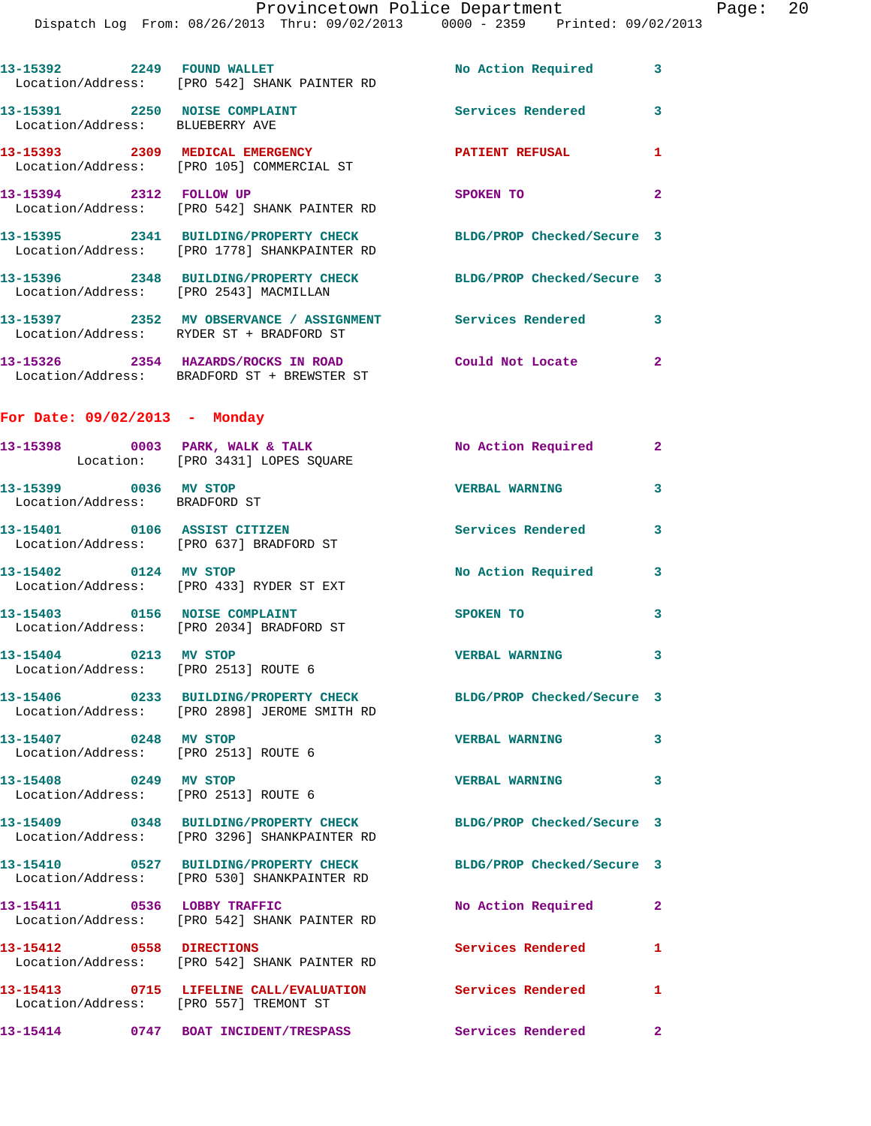|                                                                  | Dispatch Log From: 08/26/2013 Thru: 09/02/2013   0000 - 2359   Printed: 09/02/2013                               |                            |              |
|------------------------------------------------------------------|------------------------------------------------------------------------------------------------------------------|----------------------------|--------------|
|                                                                  | 13-15392 2249 FOUND WALLET<br>Location/Address: [PRO 542] SHANK PAINTER RD                                       | No Action Required         | 3            |
| 13-15391 2250 NOISE COMPLAINT<br>Location/Address: BLUEBERRY AVE |                                                                                                                  | <b>Services Rendered</b>   | 3            |
|                                                                  | 13-15393 2309 MEDICAL EMERGENCY<br>Location/Address: [PRO 105] COMMERCIAL ST                                     | PATIENT REFUSAL            | 1            |
|                                                                  | 13-15394 2312 FOLLOW UP<br>Location/Address: [PRO 542] SHANK PAINTER RD                                          | SPOKEN TO                  | $\mathbf{2}$ |
|                                                                  | 13-15395 2341 BUILDING/PROPERTY CHECK BLDG/PROP Checked/Secure 3<br>Location/Address: [PRO 1778] SHANKPAINTER RD |                            |              |
|                                                                  | 13-15396 2348 BUILDING/PROPERTY CHECK BLDG/PROP Checked/Secure 3<br>Location/Address: [PRO 2543] MACMILLAN       |                            |              |
|                                                                  | 13-15397 2352 MV OBSERVANCE / ASSIGNMENT Services Rendered<br>Location/Address: RYDER ST + BRADFORD ST           |                            | 3            |
|                                                                  | 13-15326 2354 HAZARDS/ROCKS IN ROAD<br>Location/Address: BRADFORD ST + BREWSTER ST                               | Could Not Locate           | $\mathbf{2}$ |
| For Date: $09/02/2013$ - Monday                                  |                                                                                                                  |                            |              |
|                                                                  | 13-15398 0003 PARK, WALK & TALK<br>Location: [PRO 3431] LOPES SQUARE                                             | No Action Required         | $\mathbf{2}$ |
| 13-15399 0036 MV STOP<br>Location/Address: BRADFORD ST           |                                                                                                                  | <b>VERBAL WARNING</b>      | 3            |
|                                                                  | 13-15401 0106 ASSIST CITIZEN<br>Location/Address: [PRO 637] BRADFORD ST                                          | <b>Services Rendered</b>   | 3            |
| 13-15402 0124 MV STOP                                            | Location/Address: [PRO 433] RYDER ST EXT                                                                         | No Action Required         | 3            |
|                                                                  | 13-15403 0156 NOISE COMPLAINT<br>Location/Address: [PRO 2034] BRADFORD ST                                        | <b>SPOKEN TO</b>           | 3            |
| Location/Address: [PRO 2513] ROUTE 6                             | $13 - 15404$ 0213 MV STOP                                                                                        | <b>VERBAL WARNING</b>      | 3            |
|                                                                  | 13-15406 0233 BUILDING/PROPERTY CHECK BLDG/PROP Checked/Secure 3<br>Location/Address: [PRO 2898] JEROME SMITH RD |                            |              |
| 13-15407 0248 MV STOP<br>Location/Address: [PRO 2513] ROUTE 6    |                                                                                                                  | <b>VERBAL WARNING</b>      | 3            |
| 13-15408 0249 MV STOP<br>Location/Address: [PRO 2513] ROUTE 6    |                                                                                                                  | <b>VERBAL WARNING</b>      | 3            |
|                                                                  | 13-15409 0348 BUILDING/PROPERTY CHECK BLDG/PROP Checked/Secure 3<br>Location/Address: [PRO 3296] SHANKPAINTER RD |                            |              |
|                                                                  | 13-15410 0527 BUILDING/PROPERTY CHECK<br>Location/Address: [PRO 530] SHANKPAINTER RD                             | BLDG/PROP Checked/Secure 3 |              |
| 13-15411 0536 LOBBY TRAFFIC                                      | Location/Address: [PRO 542] SHANK PAINTER RD                                                                     | No Action Required         | $\mathbf{2}$ |
| 13-15412 0558 DIRECTIONS                                         | Location/Address: [PRO 542] SHANK PAINTER RD                                                                     | Services Rendered          | 1            |
| Location/Address: [PRO 557] TREMONT ST                           | 13-15413 0715 LIFELINE CALL/EVALUATION                                                                           | Services Rendered          | 1            |
|                                                                  | 13-15414 0747 BOAT INCIDENT/TRESPASS Services Rendered                                                           |                            | $\mathbf{2}$ |